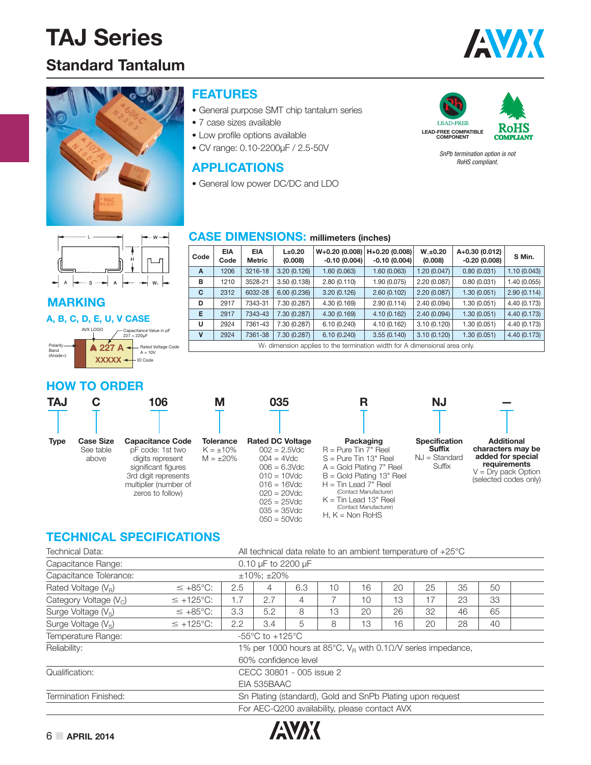### **Standard Tantalum**





#### **FEATURES**

- General purpose SMT chip tantalum series
- 7 case sizes available
- Low profile options available
- CV range: 0.10-2200μF / 2.5-50V

#### **APPLICATIONS**

• General low power DC/DC and LDO



*SnPb termination option is not RoHS compliant.*

|                             | $M -$                                  |
|-----------------------------|----------------------------------------|
|                             |                                        |
|                             | H                                      |
| A<br>$\rightarrow$<br>$-$ 5 | $W_i$<br>⊢<br>$\overline{\phantom{a}}$ |

#### **MARKING**

#### **A, B, C, D, E, U, V CASE**

|                                     | AVX I OGO   | Capacitance Value in pF<br>$227 = 220 \mu F$ |
|-------------------------------------|-------------|----------------------------------------------|
| Polarity<br><b>Band</b><br>(Anode+) | -227        | <b>Rated Voltage Code</b><br>$A = 10V$       |
|                                     | <b>XXXX</b> | <b>ID Code</b>                               |

#### **CASE DIMENSIONS: millimeters (inches)**

| Code        | <b>EIA</b><br>Code                                                                     | <b>EIA</b><br>Metric | $L\pm 0.20$<br>(0.008) | $W+0.20(0.008)$<br>$-0.10(0.004)$ | H+0.20 (0.008)<br>$-0.10(0.004)$ | $W, \pm 0.20$<br>(0.008) | A+0.30 (0.012)<br>$-0.20(0.008)$ | S Min.       |  |  |
|-------------|----------------------------------------------------------------------------------------|----------------------|------------------------|-----------------------------------|----------------------------------|--------------------------|----------------------------------|--------------|--|--|
| A           | 1206                                                                                   | 3216-18              | 3.20(0.126)            | 1.60(0.063)                       | 1.60(0.063)                      | 1.20(0.047)              | 0.80(0.031)                      | 1.10(0.043)  |  |  |
| B           | 1210                                                                                   | 3528-21              | 3.50(0.138)            | 2.80(0.110)                       | 1.90 (0.075)                     | 2.20(0.087)              | 0.80(0.031)                      | 1.40 (0.055) |  |  |
| C           | 2312                                                                                   | 6032-28              | 6.00(0.236)            | 3.20(0.126)                       | 2.60(0.102)                      | 2.20(0.087)              | 1.30(0.051)                      | 2.90(0.114)  |  |  |
| D           | 2917                                                                                   | 7343-31              | 7.30 (0.287)           | 4.30 (0.169)                      | 2.90(0.114)                      | 2.40(0.094)              | 1.30(0.051)                      | 4.40 (0.173) |  |  |
| Е           | 2917                                                                                   | 7343-43              | 7.30 (0.287)           | 4.30(0.169)                       | 4.10(0.162)                      | 2.40(0.094)              | 1.30(0.051)                      | 4.40 (0.173) |  |  |
| U           | 2924                                                                                   | 7361-43              | 7.30 (0.287)           | 6.10(0.240)                       | 4.10(0.162)                      | 3.10(0.120)              | 1.30(0.051)                      | 4.40 (0.173) |  |  |
| $\mathbf v$ | 2924                                                                                   | 7361-38              | 7.30 (0.287)           | 6.10(0.240)                       | 3.55(0.140)                      | 3.10(0.120)              | 1.30(0.051)                      | 4.40 (0.173) |  |  |
|             | W <sub>1</sub> dimension applies to the termination width for A dimensional area only. |                      |                        |                                   |                                  |                          |                                  |              |  |  |

#### **HOW TO ORDER**

| <b>TAJ</b>  |                                        | 106                                                                                                                                                         | Μ                                                    | 035                                                                                                                                                                                       |                                                                                                                                                                                                                                                                  | <b>NJ</b>                                                          |                                                                                                                               |
|-------------|----------------------------------------|-------------------------------------------------------------------------------------------------------------------------------------------------------------|------------------------------------------------------|-------------------------------------------------------------------------------------------------------------------------------------------------------------------------------------------|------------------------------------------------------------------------------------------------------------------------------------------------------------------------------------------------------------------------------------------------------------------|--------------------------------------------------------------------|-------------------------------------------------------------------------------------------------------------------------------|
|             |                                        |                                                                                                                                                             |                                                      |                                                                                                                                                                                           |                                                                                                                                                                                                                                                                  |                                                                    |                                                                                                                               |
| <b>Type</b> | <b>Case Size</b><br>See table<br>above | <b>Capacitance Code</b><br>pF code: 1st two<br>digits represent<br>significant figures<br>3rd digit represents<br>multiplier (number of<br>zeros to follow) | <b>Tolerance</b><br>$K = \pm 10\%$<br>$M = \pm 20\%$ | <b>Rated DC Voltage</b><br>$002 = 2.5$ Vdc<br>$004 = 4Vdc$<br>$006 = 6.3$ Vdc<br>$010 = 10$ Vdc<br>$016 = 16$ Vdc<br>$020 = 20$ Vdc<br>$025 = 25$ Vdc<br>$035 = 35$ Vdc<br>$050 = 50$ Vdc | Packaging<br>$R =$ Pure Tin 7" Reel<br>$S = Pure$ Tin 13" Reel<br>$A = Gold Plating 7" Reel$<br>$B =$ Gold Plating 13" Reel<br>$H =$ Tin Lead 7" Reel<br>(Contact Manufacturer)<br>$K =$ Tin Lead 13" Reel<br>(Contact Manufacturer)<br>H. $K = \text{Non RoHS}$ | <b>Specification</b><br><b>Suffix</b><br>$NJ = Standard$<br>Suffix | <b>Additional</b><br>characters may be<br>added for special<br>requirements<br>$V = Dry$ pack Option<br>(selected codes only) |

#### **TECHNICAL SPECIFICATIONS**

| <b>Technical Data:</b>          | All technical data relate to an ambient temperature of $+25^{\circ}$ C |     |                                                                |     |    |    |    |    |    |    |  |  |
|---------------------------------|------------------------------------------------------------------------|-----|----------------------------------------------------------------|-----|----|----|----|----|----|----|--|--|
| Capacitance Range:              |                                                                        |     | 0.10 $\mu$ F to 2200 $\mu$ F                                   |     |    |    |    |    |    |    |  |  |
| Capacitance Tolerance:          |                                                                        |     | $±10\%$ : $±20\%$                                              |     |    |    |    |    |    |    |  |  |
| Rated Voltage $(VB)$            | $\leq +85^{\circ}C$ :                                                  | 2.5 | 4                                                              | 6.3 | 10 | 16 | 20 | 25 | 35 | 50 |  |  |
| Category Voltage $(V_C)$        | $\leq$ +125°C:                                                         | 1.7 | 2.7                                                            | 4   |    | 10 | 13 | 17 | 23 | 33 |  |  |
| Surge Voltage (V <sub>S</sub> ) | $\leq +85^{\circ}C$ :                                                  | 3.3 | 5.2                                                            | 8   | 13 | 20 | 26 | 32 | 46 | 65 |  |  |
| Surge Voltage $(V_s)$           | $\leq$ +125°C:                                                         | 2.2 | 3.4                                                            | 5   | 8  | 13 | 16 | 20 | 28 | 40 |  |  |
| Temperature Range:              |                                                                        |     | -55 $\mathrm{^{\circ}C}$ to +125 $\mathrm{^{\circ}C}$          |     |    |    |    |    |    |    |  |  |
| Reliability:                    |                                                                        |     | 1% per 1000 hours at 85°C, $V_R$ with 0.10/V series impedance, |     |    |    |    |    |    |    |  |  |
|                                 |                                                                        |     | 60% confidence level                                           |     |    |    |    |    |    |    |  |  |
| Qualification:                  |                                                                        |     | CECC 30801 - 005 issue 2                                       |     |    |    |    |    |    |    |  |  |
|                                 |                                                                        |     | EIA 535BAAC                                                    |     |    |    |    |    |    |    |  |  |
| <b>Termination Finished:</b>    |                                                                        |     | Sn Plating (standard), Gold and SnPb Plating upon request      |     |    |    |    |    |    |    |  |  |
|                                 |                                                                        |     | For AEC-Q200 availability, please contact AVX                  |     |    |    |    |    |    |    |  |  |

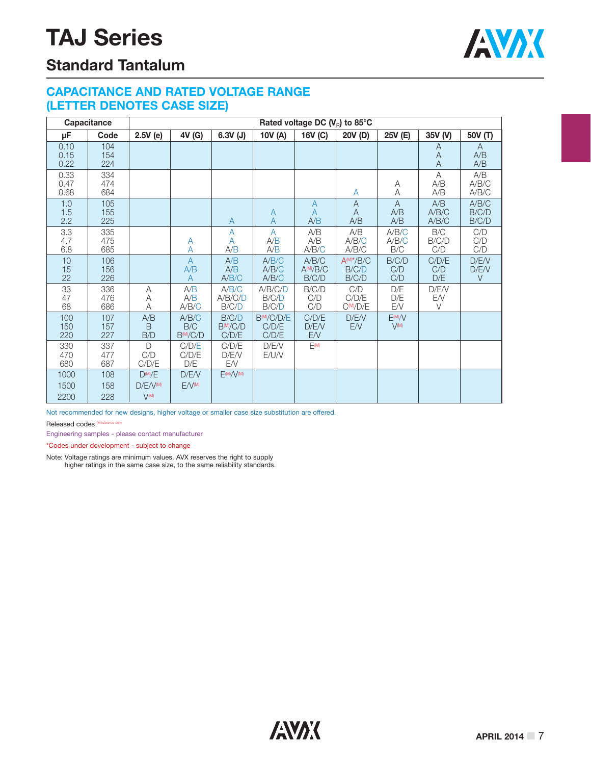

### **Standard Tantalum**

#### **CAPACITANCE AND RATED VOLTAGE RANGE (LETTER DENOTES CASE SIZE)**

|                      | Capacitance       |                                                       |                                       |                                         |                            | Rated voltage DC $(V_{\rm R})$ to 85°C |                                      |                                  |                          |                         |
|----------------------|-------------------|-------------------------------------------------------|---------------------------------------|-----------------------------------------|----------------------------|----------------------------------------|--------------------------------------|----------------------------------|--------------------------|-------------------------|
| μF                   | Code              | 2.5V(e)                                               | 4V (G)                                | $6.3V$ (J)                              | 10V (A)                    | 16V (C)                                | 20V (D)                              | 25V (E)                          | 35V (V)                  | 50V (T)                 |
| 0.10<br>0.15<br>0.22 | 104<br>154<br>224 |                                                       |                                       |                                         |                            |                                        |                                      |                                  | A<br>A<br>$\overline{A}$ | A<br>A/B<br>A/B         |
| 0.33<br>0.47<br>0.68 | 334<br>474<br>684 |                                                       |                                       |                                         |                            |                                        | A                                    | Α<br>A                           | A<br>A/B<br>A/B          | A/B<br>A/B/C<br>A/B/C   |
| 1.0<br>1.5<br>2.2    | 105<br>155<br>225 |                                                       |                                       | A                                       | A<br>$\overline{A}$        | $\overline{A}$<br>A<br>A/B             | $\mathsf{A}$<br>A<br>A/B             | $\mathsf{A}$<br>A/B<br>A/B       | A/B<br>A/B/C<br>A/B/C    | A/B/C<br>B/C/D<br>B/C/D |
| 3.3<br>4.7<br>6.8    | 335<br>475<br>685 |                                                       | A<br>А                                | $\overline{A}$<br>A<br>A/B              | A<br>A/B<br>A/B            | A/B<br>A/B<br>A/B/C                    | A/B<br>A/B/C<br>A/B/C                | A/B/C<br>A/B/C<br>B/C            | B/C<br>B/C/D<br>C/D      | C/D<br>C/D<br>C/D       |
| 10<br>15<br>22       | 106<br>156<br>226 |                                                       | $\overline{A}$<br>A/B<br>A            | A/B<br>A/B<br>A/B/C                     | A/B/C<br>A/B/C<br>A/B/C    | A/B/C<br>$A^{\text{(M)}/B/C}$<br>B/C/D | $A^{(M)*}/B/C$<br>B/C/D<br>B/C/D     | B/C/D<br>C/D<br>C/D              | C/D/E<br>C/D<br>D/E      | D/E/V<br>D/E/V<br>V     |
| 33<br>47<br>68       | 336<br>476<br>686 | A<br>Α<br>A                                           | A/B<br>A/B<br>A/B/C                   | A/B/C<br>A/B/C/D<br>B/C/D               | A/B/C/D<br>B/C/D<br>B/C/D  | B/C/D<br>C/D<br>C/D                    | C/D<br>C/D/E<br>C <sup>(M</sup> /D/E | D/E<br>D/E<br><b>EN</b>          | D/E/V<br>EN<br>$\vee$    |                         |
| 100<br>150<br>220    | 107<br>157<br>227 | A/B<br><sub>B</sub><br>B/D                            | A/B/C<br>B/C<br>B <sub>(M</sub> /C/D) | B/C/D<br>B <sub>(M)</sub> /C/D<br>C/D/E | BM/C/D/E<br>C/D/E<br>C/D/E | C/D/E<br>D/E/V<br>E/V                  | D/E/V<br>E/V                         | E <sub>(M)</sub> /V<br>$V^{(M)}$ |                          |                         |
| 330<br>470<br>680    | 337<br>477<br>687 | $\bigcap$<br>C/D<br>C/D/E                             | C/D/E<br>C/D/E<br>D/E                 | C/D/E<br>D/E/V<br>EN.                   | D/E/V<br>E/UN              | $E^{(M)}$                              |                                      |                                  |                          |                         |
| 1000<br>1500<br>2200 | 108<br>158<br>228 | $D^{(M)}/E$<br>$D/F/V^{(M)}$<br>$\bigvee(\mathsf{M})$ | D/E/V<br>$F/V^{M}$                    | E(M)/V(M)                               |                            |                                        |                                      |                                  |                          |                         |

Not recommended for new designs, higher voltage or smaller case size substitution are offered.

Released codes (M tolerance only)

Engineering samples - please contact manufacturer

\*Codes under development - subject to change

Note: Voltage ratings are minimum values. AVX reserves the right to supply higher ratings in the same case size, to the same reliability standards.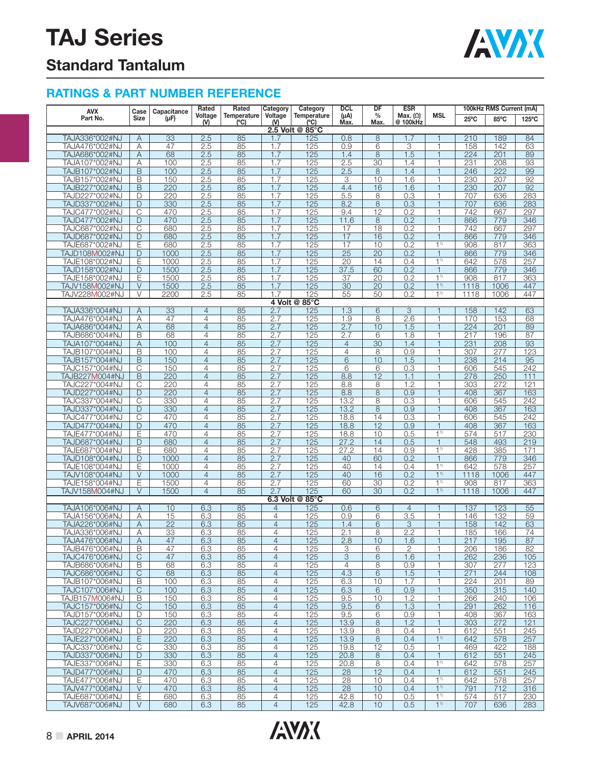

### **Standard Tantalum**

| AVX                              | Case                       | Capacitance     | Rated                            | Rated               | Category                         | Category                                      | <b>DCL</b>                       | DF              | <b>ESR</b>                  |                                | 100kHz RMS Current (mA) |             |                       |  |
|----------------------------------|----------------------------|-----------------|----------------------------------|---------------------|----------------------------------|-----------------------------------------------|----------------------------------|-----------------|-----------------------------|--------------------------------|-------------------------|-------------|-----------------------|--|
| Part No.                         | Size                       | (µF)            | Voltage<br>$W$                   | Temperature<br>(°C) | Voltage<br>$W$                   | <b>Temperature</b><br>(°C)<br>2.5 Volt @ 85°C | $(\mu A)$<br>Max.                | $\%$<br>Max.    | Max. $(\Omega)$<br>@ 100kHz | <b>MSL</b>                     | $25^{\circ}$ C          | 85°C        | $125^{\circ}$ C       |  |
| TAJA336*002#NJ                   | A                          | 33              | 2.5                              | 85                  | 1.7                              | 125                                           | 0.8                              | 8               | 1.7                         |                                | 210                     | 189         | 84                    |  |
| TAJA476*002#NJ                   | Α                          | 47              | 2.5                              | 85                  | 1.7                              | 125                                           | 0.9                              | 6               | 3                           | 1                              | 158                     | 142         | 63                    |  |
| TAJA686*002#NJ                   | A                          | 68              | 2.5                              | 85                  | 1.7                              | 125                                           | 1.4                              | 8               | 1.5                         | $\mathbf{1}$                   | 224                     | 201         | 89                    |  |
| TAJA107*002#NJ                   | Α                          | 100             | 2.5                              | 85                  | 1.7                              | 125                                           | 2.5                              | 30              | 1.4                         | 1                              | 231                     | 208         | 93                    |  |
| TAJB107*002#NJ                   | $\overline{B}$             | 100             | 2.5                              | 85                  | 1.7                              | 125                                           | 2.5                              | 8               | 1.4                         | $\mathbf{1}$                   | 246                     | 222         | 99                    |  |
| TAJB157*002#NJ                   | B                          | 150             | 2.5                              | 85                  | 1.7                              | 125                                           | 3                                | 10              | 1.6                         | 1                              | 230                     | 207         | 92                    |  |
| TAJB227*002#NJ                   | B                          | 220             | 2.5                              | 85                  | 1.7                              | 125                                           | 4.4                              | 16              | 1.6                         |                                | 230                     | 207         | 92                    |  |
| TAJD227*002#NJ                   | D                          | 220             | 2.5                              | 85                  | 1.7                              | 125                                           | $\overline{5.5}$                 | 8               | 0.3                         | 1                              | 707                     | 636         | 283                   |  |
| TAJD337*002#NJ                   | D                          | 330             | 2.5                              | 85                  | 1.7                              | 125                                           | 8.2                              | 8               | 0.3                         | $\mathbf{1}$                   | 707                     | 636         | 283                   |  |
| TAJC477*002#NJ                   | C                          | 470             | 2.5                              | 85                  | 1.7                              | 125                                           | 9.4                              | 12              | 0.2                         | 1                              | 742                     | 667         | 297                   |  |
| TAJD477*002#NJ                   | D                          | 470             | 2.5                              | 85                  | 1.7                              | 125                                           | 11.6                             | 8               | 0.2                         | $\mathbf{1}$                   | 866                     | 779         | 346                   |  |
| TAJC687*002#NJ<br>TAJD687*002#NJ | C<br>D                     | 680<br>680      | 2.5<br>2.5                       | 85<br>85            | 1.7<br>1.7                       | 125<br>125                                    | 17<br>17                         | 18<br>16        | 0.2<br>0.2                  | $\mathbf{1}$<br>$\overline{1}$ | 742<br>866              | 667<br>779  | 297<br>346            |  |
| TAJE687*002#NJ                   | Ε                          | 680             | 2.5                              | 85                  | 1.7                              | 125                                           | 17                               | 10              | 0.2                         | 1 <sup>1</sup>                 | 908                     | 817         | 363                   |  |
| TAJD108M002#NJ                   | D                          | 1000            | 2.5                              | 85                  | 1.7                              | 125                                           | $\overline{25}$                  | $\overline{20}$ | 0.2                         | $\mathbf{1}$                   | 866                     | 779         | 346                   |  |
| TAJE108*002#NJ                   | Ε                          | 1000            | 2.5                              | 85                  | 1.7                              | 125                                           | 20                               | 14              | 0.4                         | 1 <sup>1</sup>                 | 642                     | 578         | 257                   |  |
| TAJD158*002#NJ                   | D                          | 1500            | 2.5                              | 85                  | 1.7                              | 125                                           | 37.5                             | 60              | 0.2                         | $\mathbf{1}$                   | 866                     | 779         | 346                   |  |
| TAJE158*002#NJ                   | Ε                          | 1500            | 2.5                              | 85                  | 1.7                              | 125                                           | 37                               | 20              | 0.2                         | 1 <sup>1</sup>                 | 908                     | 817         | 363                   |  |
| TAJV158M002#NJ                   | $\vee$                     | 1500            | 2.5                              | 85                  | 1.7                              | 125                                           | 30                               | 20              | 0.2                         | 1 <sup>1</sup>                 | 1118                    | 1006        | 447                   |  |
| TAJV228M002#NJ                   | V                          | 2200            | 2.5                              | 85                  | 1.7                              | 125                                           | 55                               | 50              | 0.2                         | 11                             | 1118                    | 1006        | 447                   |  |
|                                  |                            |                 |                                  |                     |                                  | 4 Volt @ 85°C                                 |                                  |                 |                             |                                |                         |             |                       |  |
| TAJA336*004#NJ                   | Α                          | 33              | 4                                | 85                  | 2.7                              | 125                                           | 1.3                              | 6               | 3                           | 1                              | 158                     | 142         | 63                    |  |
| TAJA476*004#NJ                   | Α                          | 47              | 4                                | 85                  | 2.7                              | 125                                           | 1.9                              | 8               | 2.6                         | 1                              | 170                     | 153         | 68                    |  |
| TAJA686*004#NJ                   | A                          | 68              | $\overline{4}$                   | 85                  | 2.7                              | 125                                           | 2.7                              | 10              | 1.5                         | $\mathbf{1}$                   | 224                     | 201         | 89                    |  |
| TAJB686*004#NJ                   | B                          | 68              | 4                                | 85                  | 2.7                              | 125                                           | 2.7                              | 6               | 1.8                         | 1                              | 217                     | 196         | 87                    |  |
| TAJA107*004#NJ                   | A                          | 100             | $\overline{4}$                   | 85                  | 2.7                              | 125                                           | $\overline{4}$<br>$\overline{4}$ | $\overline{30}$ | 1.4                         | $\mathbf{1}$                   | 231                     | 208         | 93                    |  |
| TAJB107*004#NJ<br>TAJB157*004#NJ | B                          | 100<br>150      | $\overline{4}$                   | 85                  | 2.7                              | 125                                           |                                  | 8<br>10         | 0.9<br>1.5                  | $\mathbf{1}$<br>1              | 307<br>238              | 277<br>214  | 123                   |  |
| TAJC157*004#NJ                   | B<br>$\overline{\text{C}}$ | 150             | $\overline{4}$<br>$\overline{4}$ | 85<br>85            | 2.7<br>2.7                       | 125<br>125                                    | 6<br>6                           | 6               | 0.3                         | 1                              | 606                     | 545         | 95<br>$\frac{1}{242}$ |  |
| TAJB227M004#NJ                   | B                          | 220             | $\overline{4}$                   | 85                  | 2.7                              | 125                                           | 8.8                              | 12              | 1.1                         | $\overline{1}$                 | 278                     | 250         | 111                   |  |
| TAJC227*004#NJ                   | $\overline{C}$             | 220             | $\overline{4}$                   | 85                  | 2.7                              | 125                                           | 8.8                              | 8               | 1.2                         | 1                              | 303                     | 272         | 121                   |  |
| TAJD227*004#NJ                   | D                          | 220             | $\overline{4}$                   | 85                  | 2.7                              | 125                                           | 8.8                              | 8               | 0.9                         | $\mathbf{1}$                   | 408                     | 367         | 163                   |  |
| TAJC337*004#NJ                   | $\overline{C}$             | 330             | $\overline{4}$                   | 85                  | 2.7                              | 125                                           | 13.2                             | 8               | 0.3                         | $\mathbf{1}$                   | 606                     | 545         | 242                   |  |
| TAJD337*004#NJ                   | D                          | 330             | $\overline{4}$                   | 85                  | 2.7                              | 125                                           | 13.2                             | 8               | 0.9                         | $\mathbf{1}$                   | 408                     | 367         | 163                   |  |
| TAJC477*004#NJ                   | C                          | 470             | 4                                | 85                  | 2.7                              | 125                                           | 18.8                             | 14              | 0.3                         | 1                              | 606                     | 545         | 242                   |  |
| TAJD477*004#NJ                   | D                          | 470             | $\overline{4}$                   | 85                  | 2.7                              | 125                                           | 18.8                             | 12              | 0.9                         | $\mathbf{1}$                   | 408                     | 367         | 163                   |  |
| TAJE477*004#NJ                   | Ε                          | 470             | 4                                | 85                  | 2.7                              | 125                                           | 18.8                             | 10              | 0.5                         | 1 <sup>1</sup>                 | 574                     | 517         | 230                   |  |
| TAJD687*004#NJ                   | D                          | 680             | $\overline{4}$                   | 85                  | 2.7                              | 125                                           | 27.2                             | 14              | 0.5                         | $\mathbf{1}$                   | 548                     | 493         | 219                   |  |
| TAJE687*004#NJ                   | Ε                          | 680             | $\overline{4}$                   | 85                  | 2.7                              | 125                                           | 27.2                             | 14              | 0.9                         | 1 <sup>1</sup>                 | 428                     | 385         | 171                   |  |
| TAJD108*004#NJ                   | D                          | 1000            | $\overline{4}$                   | 85                  | 2.7                              | 125                                           | 40                               | 60              | 0.2                         | $\mathbf{1}$                   | 866                     | 779         | 346                   |  |
| TAJE108*004#NJ                   | Ε<br>$\vee$                | 1000            | $\overline{4}$                   | 85                  | 2.7                              | 125                                           | 40                               | 14              | 0.4                         | $1^{1}$<br>1 <sup>1</sup>      | 642                     | 578         | 257                   |  |
| TAJV108*004#NJ<br>TAJE158*004#NJ | Ε                          | 1000<br>1500    | $\overline{4}$<br>$\overline{4}$ | 85<br>85            | 2.7<br>2.7                       | 125<br>125                                    | 40<br>60                         | 16<br>30        | 0.2<br>0.2                  | 1 <sup>1</sup>                 | 1118<br>908             | 1006<br>817 | 447<br>363            |  |
| TAJV158M004#NJ                   | V                          | 1500            | $\overline{4}$                   | 85                  | 2.7                              | 125                                           | 60                               | 30              | 0.2                         | 1 <sup>1</sup>                 | 1118                    | 1006        | 447                   |  |
|                                  |                            |                 |                                  |                     |                                  | 6.3 Volt @ 85°C                               |                                  |                 |                             |                                |                         |             |                       |  |
| TAJA106*006#NJ                   | Α                          | 10              | 6.3                              | 85                  | $\overline{4}$                   | 125                                           | 0.6                              | 6               | $\overline{4}$              | 1                              | 137                     | 123         | 55                    |  |
| TAJA156*006#NJ                   | Α                          | 15              | 6.3                              | 85                  | $\overline{4}$                   | 125                                           | 0.9                              | 6               | 3.5                         | 1                              | 146                     | 132         | 59                    |  |
| TAJA226*006#NJ                   | A                          | $\overline{22}$ | 6.3                              | 85                  | $\overline{4}$                   | 125                                           | 1.4                              | 6               | 3                           | $\overline{\phantom{a}}$       | 158                     | 142         | 63                    |  |
| TAJA336*006#NJ                   | Α                          | 33              | 6.3                              | 85                  | 4                                | 125                                           | 2.1                              | 8               | 2.2                         |                                | 185                     | 166         | 74                    |  |
| TAJA476*006#NJ                   | A                          | 47              | 6.3                              | 85                  | 4                                | 125                                           | 2.8                              | 10              | 1.6                         | 1                              | 217                     | 195         | 87                    |  |
| TAJB476*006#NJ                   | B                          | 47              | 6.3                              | 85                  | $\overline{4}$                   | 125                                           | 3                                | 6               | $\overline{2}$              | $\mathbf{1}$                   | 206                     | 186         | 82                    |  |
| TAJC476*006#NJ                   | С                          | 47              | 6.3                              | 85                  | $\overline{4}$                   | 125                                           | 3                                | 6               | 1.6                         | 1                              | 262                     | 236         | 105                   |  |
| TAJB686*006#NJ                   | B                          | 68              | 6.3                              | 85                  | $\overline{4}$                   | 125                                           | $\overline{4}$                   | 8               | 0.9                         | 1                              | 307                     | 277         | 123                   |  |
| TAJC686*006#NJ                   | $\mathsf{C}$               | 68              | 6.3                              | 85                  | $\overline{4}$<br>$\overline{4}$ | 125                                           | 4.3                              | 6               | 1.5<br>1.7                  | 1                              | 271                     | 244<br>201  | 108                   |  |
| TAJB107*006#NJ<br>TAJC107*006#NJ | В<br>$\overline{C}$        | 100<br>100      | 6.3<br>6.3                       | 85<br>85            | $\overline{4}$                   | 125<br>125                                    | 6.3<br>6.3                       | 10<br>6         | 0.9                         | 1<br>$\mathbf{1}$              | 224<br>350              | 315         | 89<br>140             |  |
| TAJB157 <b>M</b> 006#NJ          | B                          | 150             | 6.3                              | 85                  | $\overline{4}$                   | 125                                           | 9.5                              | 10              | 1.2                         | $\mathbf{1}$                   | 266                     | 240         | 106                   |  |
| TAJC157*006#NJ                   | $\mathsf{C}$               | 150             | 6.3                              | 85                  | $\overline{4}$                   | 125                                           | 9.5                              | 6               | 1.3                         | $\mathbf{1}$                   | 291                     | 262         | 116                   |  |
| TAJD157*006#NJ                   | D                          | 150             | 6.3                              | 85                  | $\overline{4}$                   | 125                                           | 9.5                              | 6               | 0.9                         | 1                              | 408                     | 367         | 163                   |  |
| TAJC227*006#NJ                   | $\overline{C}$             | 220             | 6.3                              | 85                  | $\overline{4}$                   | 125                                           | 13.9                             | 8               | 1.2                         | $\mathbf{1}$                   | 303                     | 272         | 121                   |  |
| TAJD227*006#NJ                   | D                          | 220             | 6.3                              | 85                  | $\overline{4}$                   | 125                                           | 13.9                             | 8               | 0.4                         | 1                              | 612                     | 551         | 245                   |  |
| TAJE227*006#NJ                   | Ε                          | 220             | 6.3                              | 85                  | $\overline{4}$                   | 125                                           | 13.9                             | 8               | 0.4                         | 1 <sup>1</sup>                 | 642                     | 578         | 257                   |  |
| TAJC337*006#NJ                   | $\mathsf{C}$               | 330             | 6.3                              | 85                  | $\overline{4}$                   | 125                                           | 19.8                             | 12              | 0.5                         | $\mathbf{1}$                   | 469                     | 422         | 188                   |  |
| TAJD337*006#NJ                   | D                          | 330             | 6.3                              | 85                  | $\overline{4}$                   | 125                                           | 20.8                             | 8               | 0.4                         | $\mathbf{1}$                   | 612                     | 551         | 245                   |  |
| TAJE337*006#NJ                   | Ε                          | 330             | 6.3                              | 85                  | $\overline{4}$                   | 125                                           | 20.8                             | 8               | 0.4                         | 11                             | 642                     | 578         | 257                   |  |
| TAJD477*006#NJ                   | D                          | 470             | 6.3                              | 85                  | $\overline{4}$                   | 125                                           | 28                               | 12              | 0.4                         | $\mathbf{1}$                   | 612                     | 551         | 245                   |  |
| TAJE477*006#NJ<br>TAJV477*006#NJ | Ε<br>V                     | 470<br>470      | 6.3<br>6.3                       | 85<br>85            | $\overline{4}$<br>$\overline{4}$ | 125<br>125                                    | 28<br>28                         | 10<br>10        | 0.4<br>0.4                  | 1 <sup>1</sup><br>$1^{1}$      | 642<br>791              | 578<br>712  | 257<br>316            |  |
| TAJE687*006#NJ                   | Ε                          | 680             | 6.3                              | 85                  | $\overline{4}$                   | 125                                           | 42.8                             | 10              | 0.5                         | 1 <sup>1</sup>                 | 574                     | 517         | 230                   |  |
| TAJV687*006#NJ                   | V                          | 680             | 6.3                              | 85                  | $\overline{4}$                   | 125                                           | 42.8                             | 10              | 0.5                         | $1^{1}$                        | 707                     | 636         | 283                   |  |
|                                  |                            |                 |                                  |                     |                                  |                                               |                                  |                 |                             |                                |                         |             |                       |  |

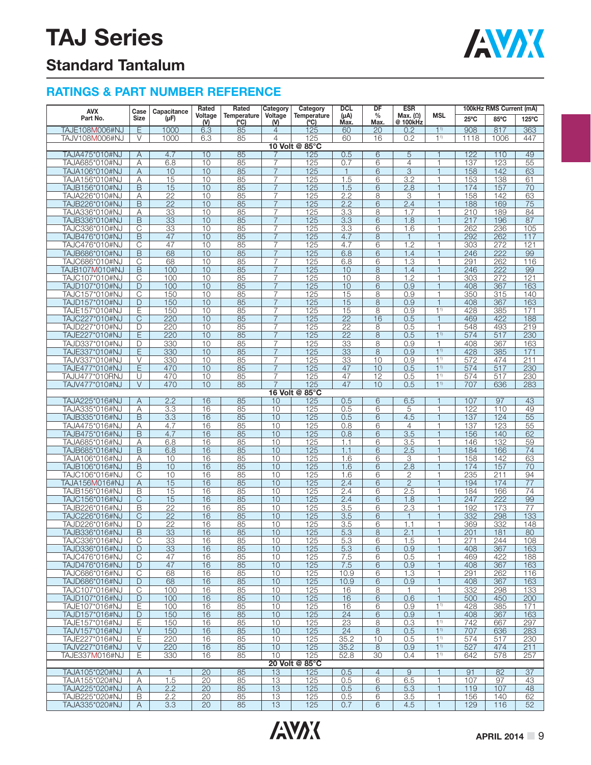

### **Standard Tantalum**

| <b>AVX</b>                       | Case                    | Capacitance     | Rated            | Rated               | Category                         | Category              | <b>DCL</b>            | DF             | <b>ESR</b>                       |                                |                  | 100kHz RMS Current (mA) |                 |
|----------------------------------|-------------------------|-----------------|------------------|---------------------|----------------------------------|-----------------------|-----------------------|----------------|----------------------------------|--------------------------------|------------------|-------------------------|-----------------|
| Part No.                         | Size                    | (µF)            | Voltage<br>( V ) | Temperature<br>(°C) | Voltage<br>(V)                   | Temperature<br>(°C)   | $(\mu A)$<br>Max.     | %<br>Max.      | Max. $(\Omega)$<br>@ 100kHz      | MSL                            | $25^{\circ}$ C   | 85°C                    | 125°C           |
| <b>TAJE108M006#NJ</b>            | Ε                       | 1000            | 6.3              | 85                  | 4                                | 125                   | 60                    | 20             | 0.2                              | $1^{1}$                        | 908              | 817                     | 363             |
| TAJV108M006#NJ                   | V                       | 1000            | 6.3              | 85                  | $\overline{4}$                   | 125                   | 60                    | 16             | 0.2                              | 1 <sup>1</sup>                 | 1118             | 1006                    | 447             |
|                                  |                         |                 |                  |                     |                                  | 10 Volt @ 85°C        |                       |                |                                  |                                |                  |                         |                 |
| TAJA475*010#NJ                   | Α                       | 4.7             | 10               | 85                  |                                  | 125                   | 0.5                   | $\overline{6}$ | 5                                |                                | 122              | 110                     | 49              |
| TAJA685*010#NJ<br>TAJA106*010#NJ | Α<br>Α                  | 6.8<br>10       | 10<br>10         | 85<br>85            | $\overline{7}$<br>$\overline{7}$ | 125<br>125            | 0.7<br>$\mathbf{1}$   | 6<br>6         | $\overline{4}$<br>$\overline{3}$ | 1<br>1                         | 137<br>158       | 123<br>142              | 55<br>63        |
| TAJA156*010#NJ                   | Α                       | 15              | 10               | 85                  | $\overline{7}$                   | 125                   | 1.5                   | 6              | 3.2                              | 1                              | 153              | 138                     | 61              |
| TAJB156*010#NJ                   | B                       | 15              | 10               | 85                  | $\overline{7}$                   | 125                   | 1.5                   | 6              | 2.8                              | 1                              | 174              | 157                     | 70              |
| TAJA226*010#NJ                   | Α                       | $\overline{22}$ | 10               | 85                  | 7                                | 125                   | 2.2                   | 8              | 3                                | 1                              | 158              | 142                     | 63              |
| TAJB226*010#NJ                   | B                       | $\overline{22}$ | 10               | 85                  | $\overline{7}$                   | 125                   | 2.2                   | 6              | 2.4                              |                                | 188              | 169                     | 75              |
| TAJA336*010#NJ                   | Α                       | 33              | 10               | 85                  | $\overline{7}$                   | 125                   | 3.3                   | 8              | 1.7                              |                                | 210              | 189                     | 84              |
| TAJB336*010#NJ<br>TAJC336*010#NJ | B<br>$\overline{C}$     | 33<br>33        | 10<br>10         | 85<br>85            | $\overline{7}$<br>$\overline{7}$ | 125<br>125            | 3.3<br>3.3            | 6<br>6         | 1.8<br>1.6                       | $\mathbf{1}$<br>1              | 217<br>262       | 196<br>236              | 87<br>105       |
| TAJB476*010#NJ                   | B                       | 47              | 10               | 85                  | $\overline{7}$                   | 125                   | 4.7                   | 8              | $\mathbf{1}$                     | $\mathbf{1}$                   | 292              | 262                     | 117             |
| TAJC476*010#NJ                   | С                       | 47              | 10               | 85                  | 7                                | 125                   | 4.7                   | 6              | 1.2                              | 1                              | 303              | 272                     | 121             |
| TAJB686*010#NJ                   | B                       | 68              | 10               | 85                  | $\overline{7}$                   | 125                   | 6.8                   | 6              | 1.4                              | $\overline{1}$                 | 246              | 222                     | 99              |
| TAJC686*010#NJ                   | С                       | 68              | 10               | 85                  | 7                                | 125                   | 6.8                   | 6              | 1.3                              | 1                              | 291              | 262                     | 116             |
| TAJB107M010#NJ                   | B<br>$\overline{C}$     | 100<br>100      | 10<br>10         | 85<br>85            | $\overline{7}$<br>$\overline{7}$ | 125<br>125            | 10<br>10              | 8              | 1.4<br>1.2                       | 1<br>$\mathbf{1}$              | 246<br>303       | 222<br>272              | 99<br>121       |
| TAJC107*010#NJ<br>TAJD107*010#NJ | D                       | 100             | 10               | 85                  | $\overline{7}$                   | 125                   | 10                    | 8<br>6         | 0.9                              | 1                              | 408              | 367                     | 163             |
| TAJC157*010#NJ                   | $\overline{\text{C}}$   | 150             | 10               | 85                  | 7                                | 125                   | 15                    | 8              | 0.9                              | 1                              | 350              | 315                     | 140             |
| TAJD157*010#NJ                   | $\mathsf{D}%$           | 150             | 10               | 85                  | $\overline{7}$                   | 125                   | 15                    | 8              | 0.9                              |                                | 408              | 367                     | 163             |
| TAJE157*010#NJ                   | Ε                       | 150             | 10               | 85                  | $\overline{7}$                   | 125                   | 15                    | 8              | 0.9                              | 1 <sup>1</sup>                 | 428              | 385                     | 171             |
| TAJC227*010#NJ                   | $\mathsf{C}$            | 220             | 10               | 85                  | $\overline{7}$                   | 125                   | $\overline{22}$       | 16             | 0.5                              | $\mathbf{1}$                   | 469              | 422                     | 188             |
| TAJD227*010#NJ                   | D                       | 220             | 10               | 85                  | $\overline{7}$                   | 125                   | 22                    | 8              | 0.5                              | 1<br>1 <sup>1</sup>            | 548              | 493                     | 219             |
| TAJE227*010#NJ<br>TAJD337*010#NJ | E<br>D                  | 220<br>330      | 10<br>10         | 85<br>85            | $\overline{7}$<br>7              | 125<br>125            | $\overline{22}$<br>33 | 8<br>8         | 0.5<br>0.9                       | $\mathbf 1$                    | 574<br>408       | 517<br>367              | 230<br>163      |
| TAJE337*010#NJ                   | E                       | 330             | 10               | 85                  | $\overline{7}$                   | 125                   | 33                    | 8              | 0.9                              | 1 <sup>1</sup>                 | 428              | 385                     | 171             |
| TAJV337*010#NJ                   | $\vee$                  | 330             | 10               | 85                  | $\overline{7}$                   | 125                   | 33                    | 10             | 0.9                              | 1 <sup>1</sup>                 | 572              | 474                     | 211             |
| TAJE477*010#NJ                   | E                       | 470             | 10               | 85                  | $\overline{7}$                   | 125                   | 47                    | 10             | 0.5                              | 1 <sup>1</sup>                 | 574              | 517                     | 230             |
| TAJU477*010RNJ                   | U                       | 470             | 10               | 85                  | $\overline{7}$                   | 125                   | 47                    | 12             | 0.5                              | 1 <sup>1</sup>                 | 574              | 517                     | 230             |
| TAJV477*010#NJ                   | $\vee$                  | 470             | 10               | 85                  | $\overline{7}$                   | 125                   | 47                    | 10             | 0.5                              | 1 <sup>1</sup>                 | 707              | 636                     | 283             |
| TAJA225*016#NJ                   | A                       | 2.2             | $\overline{16}$  | 85                  | 10                               | 16 Volt @ 85°C<br>125 | 0.5                   | 6              | 6.5                              |                                | 107              | 97                      | 43              |
| TAJA335*016#NJ                   | Α                       | 3.3             | 16               | 85                  | 10                               | 125                   | 0.5                   | 6              | 5                                | 1                              | 122              | 110                     | 49              |
| TAJB335*016#NJ                   | B                       | 3.3             | 16               | 85                  | 10                               | 125                   | 0.5                   | 6              | 4.5                              | $\mathbf{1}$                   | 137              | 124                     | $\overline{55}$ |
| TAJA475*016#NJ                   | Α                       | 4.7             | 16               | 85                  | 10                               | 125                   | 0.8                   | 6              | 4                                | $\mathbf{1}$                   | 137              | 123                     | 55              |
| TAJB475*016#NJ                   | B                       | 4.7             | 16               | 85                  | 10                               | 125                   | 0.8                   | 6              | $\overline{3.5}$                 | $\mathbf{1}$                   | 156              | 140                     | 62              |
| TAJA685*016#NJ                   | Α                       | 6.8<br>6.8      | 16<br>16         | 85<br>85            | 10<br>10                         | 125<br>125            | 1.1<br>1.1            | 6              | 3.5                              | $\mathbf 1$<br>$\overline{1}$  | 146<br>184       | 132                     | 59<br>74        |
| TAJB685*016#NJ<br>TAJA106*016#NJ | B<br>Α                  | 10              | 16               | 85                  | 10                               | 125                   | 1.6                   | 6<br>6         | 2.5<br>3                         |                                | 158              | 166<br>142              | 63              |
| TAJB106*016#NJ                   | B                       | 10              | 16               | 85                  | 10                               | 125                   | 1.6                   | 6              | 2.8                              | 1                              | 174              | 157                     | 70              |
| TAJC106*016#NJ                   | $\overline{C}$          | 10              | 16               | 85                  | 10                               | 125                   | 1.6                   | 6              | 2                                | 1                              | 235              | 211                     | 94              |
| TAJA156M016#NJ                   | Α                       | 15              | 16               | 85                  | 10                               | 125                   | 2.4                   | 6              | $\overline{2}$                   | 1                              | 194              | 174                     | 77              |
| TAJB156*016#NJ                   | B                       | 15              | 16               | 85                  | 10                               | 125                   | 2.4                   | 6              | 2.5                              | 1                              | 184              | 166                     | 74              |
| TAJC156*016#NJ<br>TAJB226*016#NJ | C<br>B                  | 15<br>22        | 16<br>16         | 85<br>85            | 10<br>10                         | 125<br>125            | 2.4<br>3.5            | 6<br>6         | 1.8<br>2.3                       | 1<br>1                         | 247<br>192       | 222<br>173              | 99<br>77        |
| TAJC226*016#NJ                   | $\mathsf{C}$            | 22              | 16               | 85                  | 10                               | 125                   | 3.5                   | 6              | $\mathbf{1}$                     | $\mathbf{1}$                   | 332              | 298                     | 133             |
| TAJD226*016#NJ                   | D                       | 22              | 16               | 85                  | 10                               | 125                   | 3.5                   | 6              | 1.1                              | 1                              | 369              | 332                     | 148             |
| TAJB336*016#NJ                   | B                       | 33              | 16               | 85                  | 10                               | 125                   | 5.3                   | 8              | 2.1                              | $\overline{\phantom{a}}$       | 201              | 181                     | 80              |
| IAJC336^016#NJ                   | U                       | 33              | 16               | 85                  | 10                               | 125                   | 5.3                   | 6              | 1.5                              |                                | 271              | 244                     | 108             |
| TAJD336*016#NJ                   | D                       | 33              | 16               | 85                  | 10                               | 125                   | 5.3                   | 6              | 0.9                              | 1                              | 408              | 367                     | 163             |
| TAJC476*016#NJ<br>TAJD476*016#NJ | С<br>D                  | 47<br>47        | 16<br>16         | 85<br>85            | 10<br>10                         | 125<br>125            | 7.5<br>7.5            | 6<br>6         | 0.5<br>0.9                       | 1<br>$\mathbf{1}$              | 469<br>408       | 422<br>367              | 188<br>163      |
| TAJC686*016#NJ                   | C                       | 68              | 16               | 85                  | 10                               | 125                   | 10.9                  | 6              | 1.3                              | 1                              | 291              | 262                     | 116             |
| TAJD686*016#NJ                   | D                       | 68              | 16               | 85                  | 10                               | 125                   | 10.9                  | 6              | 0.9                              | 1                              | 408              | 367                     | 163             |
| TAJC107*016#NJ                   | $\overline{\mathrm{C}}$ | 100             | 16               | 85                  | 10                               | 125                   | 16                    | 8              | $\mathbf{1}$                     | 1                              | 332              | 298                     | 133             |
| TAJD107*016#NJ                   | D                       | 100             | 16               | 85                  | 10                               | 125                   | 16                    | 6              | 0.6                              | $\mathbf{1}$                   | 500              | 450                     | 200             |
| TAJE107*016#NJ<br>TAJD157*016#NJ | Ε<br>D                  | 100<br>150      | 16<br>16         | 85<br>85            | 10<br>10                         | 125<br>125            | 16<br>24              | 6<br>6         | 0.9<br>0.9                       | 1 <sup>1</sup><br>$\mathbf{1}$ | 428<br>408       | 385<br>367              | 171<br>163      |
| TAJE157*016#NJ                   | E                       | 150             | 16               | 85                  | 10                               | 125                   | 23                    | 8              | 0.3                              | 1 <sup>1</sup>                 | $\overline{742}$ | 667                     | 297             |
| TAJV157*016#NJ                   | $\vee$                  | 150             | 16               | 85                  | 10                               | 125                   | 24                    | 8              | 0.5                              | $1^{1}$                        | 707              | 636                     | 283             |
| TAJE227*016#NJ                   | Ε                       | 220             | 16               | 85                  | 10                               | 125                   | 35.2                  | 10             | 0.5                              | 1 <sup>1</sup>                 | 574              | 517                     | 230             |
| TAJV227*016#NJ                   | $\boldsymbol{\vee}$     | 220             | 16               | 85                  | 10                               | 125                   | 35.2                  | 8              | 0.9                              | 1 <sup>1</sup>                 | 527              | 474                     | 211             |
| TAJE337M016#NJ                   | Е                       | 330             | 16               | 85                  | 10                               | 125                   | 52.8                  | 30             | 0.4                              | 1 <sup>1</sup>                 | 642              | 578                     | 257             |
| TAJA105*020#NJ                   |                         | $\overline{1}$  | $\overline{20}$  | 85                  |                                  | 20 Volt @ 85°C<br>125 | 0.5                   | $\overline{4}$ | 9                                | $\mathbf{1}$                   | 91               | 82                      | 37              |
| TAJA155*020#NJ                   | A<br>Α                  | 1.5             | 20               | 85                  | 13<br>13                         | 125                   | 0.5                   | 6              | 6.5                              | 1                              | 107              | 97                      | 43              |
| TAJA225*020#NJ                   | A                       | 2.2             | 20               | 85                  | 13                               | 125                   | 0.5                   | 6              | 5.3                              | $\mathbf{1}$                   | 119              | 107                     | 48              |
| TAJB225*020#NJ                   | В                       | 2.2             | 20               | 85                  | 13                               | 125                   | 0.5                   | 6              | 3.5                              | 1                              | 156              | 140                     | 62              |
| TAJA335*020#NJ                   | $\overline{A}$          | 3.3             | 20               | 85                  | 13                               | 125                   | 0.7                   | 6              | 4.5                              | $\mathbf{1}$                   | 129              | 116                     | 52              |
|                                  |                         |                 |                  |                     |                                  |                       |                       |                |                                  |                                |                  |                         |                 |

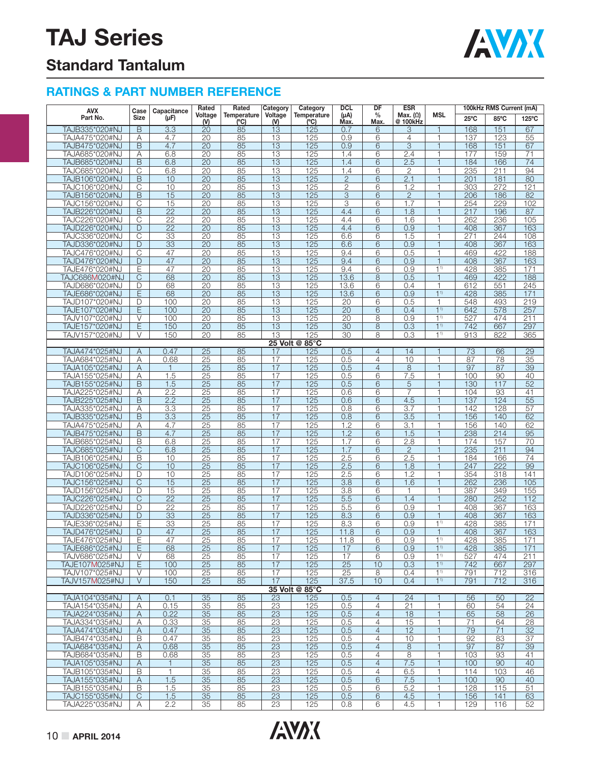

### **Standard Tantalum**

| <b>AVX</b>                       | Case                    | Capacitance           | Rated                 | Rated              | Category                                          | Category              | <b>DCL</b>      | DF                               | <b>ESR</b>                  |                                  |                | 100kHz RMS Current (mA) |                 |
|----------------------------------|-------------------------|-----------------------|-----------------------|--------------------|---------------------------------------------------|-----------------------|-----------------|----------------------------------|-----------------------------|----------------------------------|----------------|-------------------------|-----------------|
| Part No.                         | <b>Size</b>             | (µF)                  | Voltage<br>$W$        | Temperature<br>(C) | Voltage<br>$($ <sup><math>\mathsf{W}</math></sup> | Temperature<br>(C)    | (µA)<br>Max.    | $\%$<br>Max.                     | Max. $(\Omega)$<br>@ 100kHz | <b>MSL</b>                       | $25^{\circ}$ C | 85°C                    | 125°C           |
| TAJB335*020#NJ                   | B                       | 3.3                   | 20                    | 85                 | $\overline{13}$                                   | 125                   | 0.7             | 6                                | 3                           | $\mathbf{1}$                     | 168            | 151                     | 67              |
| TAJA475*020#NJ                   | Α                       | 4.7                   | 20                    | 85                 | 13                                                | 125                   | 0.9             | 6                                | $\overline{4}$              | $\mathbf{1}$                     | 137            | 123                     | 55              |
| TAJB475*020#NJ                   | B                       | 4.7                   | 20                    | 85                 | 13                                                | 125                   | 0.9             | 6                                | 3                           | 1                                | 168            | 151                     | 67              |
| TAJA685*020#NJ                   | Α                       | 6.8                   | $\overline{20}$       | 85                 | $\overline{13}$                                   | 125                   | 1.4             | 6                                | 2.4                         | 1                                | 177            | 159                     | $\overline{71}$ |
| TAJB685*020#NJ                   | B                       | 6.8                   | 20                    | 85                 | 13                                                | 125                   | 1.4             | 6                                | 2.5                         | $\mathbf{1}$                     | 184            | 166                     | $\overline{74}$ |
| TAJC685*020#NJ                   | С                       | 6.8                   | 20                    | 85                 | 13                                                | 125                   | 1.4             | 6                                | $\mathbf{2}$                | 1                                | 235            | 211                     | 94              |
| TAJB106*020#NJ                   | B                       | 10                    | $\overline{20}$       | 85                 | $\overline{13}$                                   | 125                   | $\overline{2}$  | 6                                | $\overline{2.1}$            | $\mathbf{1}$                     | 201            | 181                     | 80              |
| TAJC106*020#NJ                   | С                       | 10                    | 20                    | 85                 | 13                                                | 125                   | $\mathbf{2}$    | 6                                | 1.2                         | 1                                | 303            | 272                     | 121             |
| TAJB156*020#NJ                   | B                       | 15                    | $\overline{20}$       | 85                 | 13                                                | 125                   | 3               | 6                                | $\overline{2}$              | $\mathbf{1}$                     | 206            | 186                     | 82              |
| TAJC156*020#NJ                   | C                       | 15                    | $\overline{20}$       | 85                 | $\overline{13}$                                   | 125                   | 3               | 6                                | 1.7                         | 1                                | 254            | 229                     | 102             |
| TAJB226*020#NJ                   | B                       | $\overline{22}$       | 20                    | 85                 | 13                                                | 125                   | 4.4             | 6                                | 1.8                         | $\mathbf{1}$                     | 217            | 196                     | 87              |
| TAJC226*020#NJ                   | C<br>D                  | 22                    | 20<br>$\overline{20}$ | 85<br>85           | 13<br>$\overline{13}$                             | 125<br>125            | 4.4<br>4.4      | 6<br>6                           | 1.6<br>0.9                  | 1<br>$\mathbf{1}$                | 262<br>408     | 236<br>367              | 105<br>163      |
| TAJD226*020#NJ<br>TAJC336*020#NJ | C                       | $\overline{22}$<br>33 | 20                    | 85                 | 13                                                | 125                   | 6.6             | 6                                | 1.5                         | 1                                | 271            | 244                     | 108             |
| TAJD336*020#NJ                   | D                       | 33                    | 20                    | 85                 | 13                                                | 125                   | 6.6             | 6                                | 0.9                         | $\mathbf{1}$                     | 408            | 367                     | 163             |
| TAJC476*020#NJ                   | $\overline{\text{C}}$   | 47                    | 20                    | 85                 | $\overline{13}$                                   | 125                   | 9.4             | 6                                | 0.5                         | $\mathbf{1}$                     | 469            | 422                     | 188             |
| TAJD476*020#NJ                   | $\mathsf{D}%$           | 47                    | 20                    | 85                 | $\overline{13}$                                   | 125                   | 9.4             | 6                                | 0.9                         | $\mathbf{1}$                     | 408            | 367                     | 163             |
| TAJE476*020#NJ                   | Ε                       | 47                    | 20                    | 85                 | 13                                                | 125                   | 9.4             | 6                                | 0.9                         | 1 <sup>1</sup>                   | 428            | 385                     | 171             |
| <b>TAJC686M020#NJ</b>            | $\overline{\mathrm{C}}$ | 68                    | $\overline{20}$       | 85                 | $\overline{13}$                                   | 125                   | 13.6            | 8                                | 0.5                         | $\mathbf{1}$                     | 469            | 422                     | 188             |
| TAJD686*020#NJ                   | D                       | 68                    | 20                    | 85                 | 13                                                | 125                   | 13.6            | 6                                | 0.4                         | 1                                | 612            | 551                     | 245             |
| TAJE686*020#NJ                   | E                       | 68                    | 20                    | 85                 | 13                                                | 125                   | 13.6            | 6                                | 0.9                         | 1 <sup>1</sup>                   | 428            | 385                     | 171             |
| TAJD107*020#NJ                   | D                       | 100                   | 20                    | 85                 | $\overline{13}$                                   | 125                   | $\overline{20}$ | 6                                | 0.5                         | 1                                | 548            | 493                     | 219             |
| TAJE107*020#NJ                   | E                       | 100                   | 20                    | 85                 | 13                                                | 125                   | 20              | 6                                | 0.4                         | 1 <sup>1</sup>                   | 642            | 578                     | 257             |
| TAJV107*020#NJ                   | $\vee$                  | 100                   | 20                    | 85                 | 13                                                | 125                   | 20              | 8                                | 0.9                         | 1 <sup>1</sup>                   | 527            | 474                     | 211             |
| TAJE157*020#NJ                   | $\overline{E}$          | 150                   | $\overline{20}$       | 85                 | $\overline{13}$                                   | 125                   | $\overline{30}$ | 8                                | 0.3                         | 1 <sup>1</sup>                   | 742            | 667                     | 297             |
| TAJV157*020#NJ                   | V                       | 150                   | 20                    | 85                 | 13                                                | 125                   | 30              | 8                                | 0.3                         | 1 <sup>1</sup>                   | 913            | 822                     | 365             |
| TAJA474*025#NJ                   | Α                       | 0.47                  | 25                    | 85                 | 17                                                | 25 Volt @ 85°C<br>125 | 0.5             | $\overline{4}$                   | 14                          |                                  | 73             | 66                      | 29              |
| TAJA684*025#NJ                   | Α                       | 0.68                  | 25                    | 85                 | 17                                                | 125                   | 0.5             | 4                                | 10                          | 1                                | 87             | 78                      | 35              |
| TAJA105*025#NJ                   | Α                       | $\mathbf{1}$          | 25                    | 85                 | 17                                                | 125                   | 0.5             | $\overline{4}$                   | $\,8\,$                     | $\mathbf{1}$                     | 97             | 87                      | 39              |
| TAJA155*025#NJ                   | Α                       | 1.5                   | 25                    | 85                 | 17                                                | 125                   | 0.5             | 6                                | 7.5                         | $\mathbf{1}$                     | 100            | 90                      | 40              |
| TAJB155*025#NJ                   | B                       | 1.5                   | 25                    | 85                 | 17                                                | 125                   | 0.5             | 6                                | $\sqrt{5}$                  | $\mathbf{1}$                     | 130            | 117                     | 52              |
| TAJA225*025#NJ                   | Α                       | 2.2                   | 25                    | 85                 | 17                                                | 125                   | 0.6             | 6                                | $\overline{7}$              | 1                                | 104            | 93                      | 41              |
| TAJB225*025#NJ                   | B                       | 2.2                   | $\overline{25}$       | 85                 | $\overline{17}$                                   | 125                   | 0.6             | 6                                | 4.5                         | $\overline{1}$                   | 137            | 124                     | 55              |
| TAJA335*025#NJ                   | Α                       | 3.3                   | 25                    | 85                 | 17                                                | 125                   | 0.8             | 6                                | 3.7                         | 1                                | 142            | 128                     | 57              |
| TAJB335*025#NJ                   | B                       | 3.3                   | 25                    | 85                 | 17                                                | 125                   | 0.8             | 6                                | 3.5                         | $\mathbf{1}$                     | 156            | 140                     | 62              |
| TAJA475*025#NJ                   | Α                       | 4.7                   | 25                    | 85                 | $\overline{17}$                                   | 125                   | 1.2             | 6                                | $\overline{3.1}$            | $\mathbf{1}$                     | 156            | 140                     | 62              |
| TAJB475*025#NJ                   | B                       | 4.7                   | 25                    | 85                 | 17                                                | 125                   | 1.2             | 6                                | 1.5                         | $\mathbf{1}$                     | 238            | 214                     | 95              |
| TAJB685*025#NJ                   | B                       | 6.8                   | 25                    | 85                 | 17                                                | 125                   | 1.7             | 6                                | 2.8                         | 1                                | 174            | 157                     | 70              |
| TAJC685*025#NJ                   | $\overline{\text{C}}$   | 6.8<br>10             | $\overline{25}$       | 85                 | $\overline{17}$<br>17                             | 125                   | 1.7             | 6                                | $\overline{2}$              | $\mathbf{1}$<br>1                | 235<br>184     | 211<br>166              | 94<br>74        |
| TAJB106*025#NJ<br>TAJC106*025#NJ | B<br>C                  | 10                    | 25<br>25              | 85<br>85           | 17                                                | 125<br>125            | 2.5<br>2.5      | 6<br>6                           | 2.5<br>1.8                  | $\mathbf{1}$                     | 247            | $\overline{222}$        | 99              |
| TAJD106*025#NJ                   | D                       | 10                    | $\overline{25}$       | 85                 | 17                                                | 125                   | 2.5             | 6                                | 1.2                         | $\mathbf{1}$                     | 354            | 318                     | 141             |
| TAJC156*025#NJ                   | C                       | 15                    | 25                    | 85                 | 17                                                | 125                   | 3.8             | 6                                | 1.6                         | 1                                | 262            | 236                     | 105             |
| TAJD156*025#NJ                   | D                       | 15                    | 25                    | 85                 | 17                                                | 125                   | 3.8             | 6                                | $\mathbf{1}$                | 1                                | 387            | 349                     | 155             |
| TAJC226*025#NJ                   | $\overline{\mathbb{C}}$ | $\overline{22}$       | $\overline{25}$       | 85                 | $\overline{17}$                                   | 125                   | 5.5             | 6                                | 1.4                         | 1                                | 280            | 252                     | 112             |
| TAJD226*025#NJ                   | D                       | $\overline{22}$       | 25                    | 85                 | 17                                                | 125                   | 5.5             | 6                                | 0.9                         | 1                                | 408            | 367                     | 163             |
| TAJD336*025#NJ                   | D                       | 33                    | 25                    | 85                 | 17                                                | 125                   | 8.3             | 6                                | 0.9                         | $\mathbf{1}$                     | 408            | 367                     | 163             |
| TAJE336*025#NJ                   | Ε                       | 33                    | 25                    | 85                 | 17                                                | 125                   | 8.3             | 6                                | 0.9                         | 1 <sup>1</sup>                   | 428            | 385                     | 171             |
| TAJD476*025#NJ                   | D                       | 47                    | $\overline{25}$       | 85                 | 17                                                | 125                   | 11.8            | 6                                | 0.9                         | $\mathbf{1}$                     | 408            | 367                     | 163             |
| IAJE4/6*025#NJ                   | E                       | 47                    | <u>25 </u>            | 85                 | 1/                                                | 125                   | 11.8            | 6                                | 0.9                         | 1"                               | 428            | 385                     | 171             |
| TAJE686*025#NJ                   | Е                       | 68                    | 25                    | 85                 | 17                                                | 125                   | 17              | 6                                | 0.9                         | 1 <sup>1</sup>                   | 428            | 385                     | 171             |
| TAJV686*025#NJ                   | V                       | 68                    | 25                    | 85                 | 17                                                | 125                   | 17              | 6                                | 0.9                         | 1 <sup>1</sup>                   | 527            | 474                     | 211             |
| TAJE107M025#NJ<br>TAJV107*025#NJ | E<br>V                  | 100<br>100            | 25<br>25              | 85<br>85           | 17<br>17                                          | 125<br>125            | 25<br>25        | 10<br>8                          | 0.3<br>0.4                  | 1 <sup>1</sup><br>1 <sup>1</sup> | 742<br>791     | 667<br>712              | 297<br>316      |
| TAJV157M025#NJ                   | V                       | 150                   | 25                    | 85                 | 17                                                | 125                   | 37.5            | 10                               | 0.4                         | 1 <sup>1</sup>                   | 791            | 712                     | 316             |
|                                  |                         |                       |                       |                    |                                                   | 35 Volt @ 85°C        |                 |                                  |                             |                                  |                |                         |                 |
| TAJA104*035#NJ                   | A                       | 0.1                   | 35                    | 85                 | 23                                                | 125                   | 0.5             | $\overline{4}$                   | 24                          | 1                                | 56             | 50                      | 22              |
| TAJA154*035#NJ                   | Α                       | 0.15                  | 35                    | 85                 | 23                                                | 125                   | 0.5             | 4                                | $\overline{21}$             | 1                                | 60             | 54                      | 24              |
| TAJA224*035#NJ                   | A                       | 0.22                  | 35                    | 85                 | 23                                                | 125                   | 0.5             | $\overline{4}$                   | 18                          | $\mathbf{1}$                     | 65             | 58                      | 26              |
| TAJA334*035#NJ                   | Α                       | 0.33                  | 35                    | 85                 | 23                                                | 125                   | 0.5             | $\overline{4}$                   | 15                          | 1                                | 71             | 64                      | 28              |
| TAJA474*035#NJ                   | A                       | 0.47                  | 35                    | 85                 | 23                                                | 125                   | 0.5             | $\overline{4}$                   | 12                          | $\mathbf{1}$                     | 79             | 71                      | 32              |
| TAJB474*035#NJ                   | B                       | 0.47                  | 35                    | 85                 | 23                                                | 125                   | 0.5             | $\overline{4}$                   | 10                          | 1                                | 92             | 83                      | 37              |
| TAJA684*035#NJ                   | Α                       | 0.68                  | 35                    | 85                 | $\overline{23}$                                   | 125                   | 0.5             | $\overline{4}$                   | 8                           | $\mathbf{1}$                     | 97             | 87                      | 39              |
| TAJB684*035#NJ                   | B                       | 0.68                  | 35                    | 85                 | 23                                                | 125                   | 0.5             | $\overline{4}$<br>$\overline{4}$ | 8<br>7.5                    | 1<br>$\mathbf{1}$                | 103            | 93                      | 41<br>40        |
| TAJA105*035#NJ<br>TAJB105*035#NJ | Α<br>B                  | $\mathbf{1}$<br>1     | 35<br>35              | 85<br>85           | 23<br>23                                          | 125<br>125            | 0.5<br>0.5      | 4                                | 6.5                         | $\mathbf{1}$                     | 100<br>114     | 90<br>103               | 46              |
| TAJA155*035#NJ                   | Α                       | 1.5                   | 35                    | 85                 | 23                                                | 125                   | 0.5             | 6                                | 7.5                         | $\mathbf{1}$                     | 100            | 90                      | 40              |
| TAJB155*035#NJ                   | B                       | 1.5                   | 35                    | 85                 | 23                                                | 125                   | 0.5             | 6                                | 5.2                         | $\mathbf{1}$                     | 128            | 115                     | 51              |
| TAJC155*035#NJ                   | C                       | 1.5                   | 35                    | 85                 | $\overline{23}$                                   | 125                   | 0.5             | 6                                | 4.5                         | 1                                | 156            | 141                     | 63              |
| TAJA225*035#NJ                   | A                       | 2.2                   | 35                    | 85                 | $\overline{23}$                                   | 125                   | 0.8             | 6                                | 4.5                         | 1                                | 129            | 116                     | 52              |
|                                  |                         |                       |                       |                    |                                                   |                       |                 |                                  |                             |                                  |                |                         |                 |

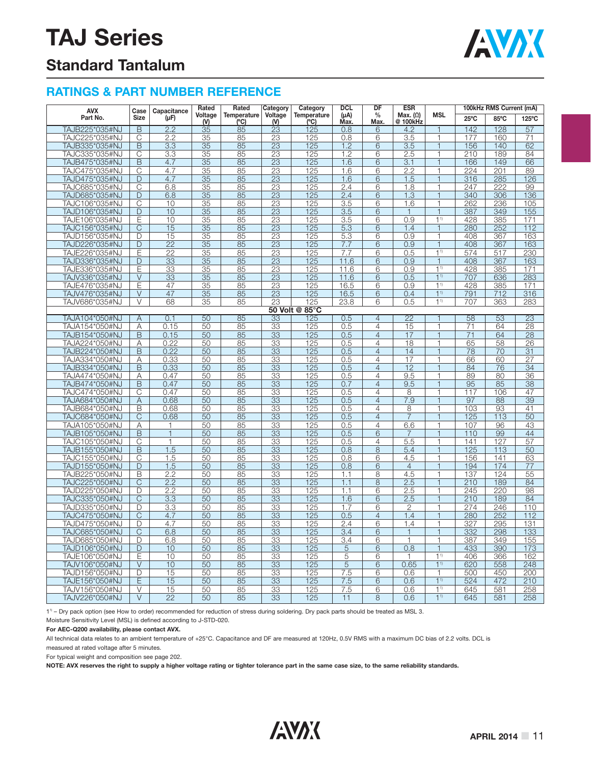

### **Standard Tantalum**

#### **RATINGS & PART NUMBER REFERENCE**

| <b>AVX</b>     | Case                                      | Capacitance         | Rated                   | Rated              | Category        | Category            | <b>DCL</b>        | DF                    | <b>ESR</b>                  |                          |                 | 100kHz RMS Current (mA) |                 |
|----------------|-------------------------------------------|---------------------|-------------------------|--------------------|-----------------|---------------------|-------------------|-----------------------|-----------------------------|--------------------------|-----------------|-------------------------|-----------------|
| Part No.       | <b>Size</b>                               | $(\mu F)$           | Voltage<br>$\mathsf{M}$ | Temperature<br>(C) | Voltage<br>(N)  | Temperature<br>(°C) | $(\mu A)$<br>Max. | $\frac{0}{0}$<br>Max. | Max. $(\Omega)$<br>@ 100kHz | <b>MSL</b>               | 25°C            | 85°C                    | 125°C           |
| TAJB225*035#NJ | $\overline{B}$                            | 2.2                 | 35                      | 85                 | 23              | 125                 | 0.8               | 6                     | 4.2                         | 1                        | 142             | 128                     | 57              |
| TAJC225*035#NJ | C                                         | 2.2                 | 35                      | 85                 | 23              | 125                 | 0.8               | 6                     | 3.5                         | 1                        | 177             | 160                     | 71              |
| TAJB335*035#NJ | $\mathsf B$                               | 3.3                 | 35                      | 85                 | 23              | 125                 | 1.2               | 6                     | 3.5                         | 1                        | 156             | 140                     | 62              |
| TAJC335*035#NJ | $\overline{\text{C}}$                     | $\overline{3.3}$    | $\overline{35}$         | $\overline{85}$    | $\overline{23}$ | 125                 | 1.2               | 6                     | 2.5                         | 1                        | 210             | 189                     | 84              |
| TAJB475*035#NJ | B                                         | 4.7                 | $\overline{35}$         | 85                 | 23              | 125                 | 1.6               | 6                     | 3.1                         | $\mathbf{1}$             | 166             | 149                     | 66              |
| TAJC475*035#NJ | $\overline{C}$                            | 4.7                 | 35                      | 85                 | 23              | 125                 | 1.6               | 6                     | 2.2                         | 1                        | 224             | 201                     | 89              |
| TAJD475*035#NJ | $\mathsf{D}$                              | 4.7                 | 35                      | 85                 | $\overline{23}$ | 125                 | 1.6               | 6                     | 1.5                         | $\mathbf{1}$             | 316             | 285                     | 126             |
| TAJC685*035#NJ | $\overline{\mathrm{C}}$                   | 6.8                 | $\overline{35}$         | 85                 | 23              | 125                 | 2.4               | 6                     | 1.8                         | 1                        | 247             | 222                     | 99              |
| TAJD685*035#NJ | $\mathsf{D}$                              | 6.8                 | 35                      | 85                 | 23              | 125                 | 2.4               | 6                     | 1.3                         | $\mathbf{1}$             | 340             | 306                     | 136             |
| TAJC106*035#NJ | C                                         | 10                  | 35                      | 85                 | $\overline{23}$ | 125                 | 3.5               | 6                     | 1.6                         | 1                        | 262             | 236                     | 105             |
| TAJD106*035#NJ | D                                         | 10                  | 35                      | 85                 | 23              | 125                 | 3.5               | 6                     | 1                           | 1                        | 387             | 349                     | 155             |
| TAJE106*035#NJ | E                                         | 10                  | 35                      | 85                 | 23              | 125                 | 3.5               | 6                     | 0.9                         | 1 <sup>1</sup>           | 428             | 385                     | 171             |
| TAJC156*035#NJ | $\overline{\mathbb{C}}$                   | 15                  | 35                      | 85                 | $\overline{23}$ | 125                 | 5.3               | 6                     | 1.4                         | $\mathbf{1}$             | 280             | 252                     | 112             |
| TAJD156*035#NJ | D                                         | 15                  | 35                      | 85                 | 23              | 125                 | 5.3               | 6                     | 0.9                         | 1                        | 408             | 367                     | 163             |
| TAJD226*035#NJ | $\mathsf{D}$                              | 22                  | 35                      | 85                 | 23              | 125                 | 7.7               | 6                     | 0.9                         | $\overline{\phantom{a}}$ | 408             | 367                     | 163             |
| TAJE226*035#NJ | E                                         | 22                  | 35                      | 85                 | 23              | 125                 | 7.7               | 6                     | 0.5                         | 11                       | 574             | 517                     | 230             |
| TAJD336*035#NJ | D                                         | 33                  | 35                      | 85                 | 23              | 125                 | 11.6              | 6                     | 0.9                         | $\mathbf{1}$             | 408             | 367                     | 163             |
| TAJE336*035#NJ | E                                         | 33                  | 35                      | 85                 | 23              | 125                 | 11.6              | 6                     | 0.9                         | 1 <sup>1</sup>           | 428             | 385                     | 171             |
| TAJV336*035#NJ | $\vee$                                    | 33                  | 35                      | 85                 | 23              | 125                 | 11.6              | 6                     | 0.5                         | 11                       | 707             | 636                     | 283             |
| TAJE476*035#NJ | Ε                                         | 47                  | 35                      | 85                 | 23              | 125                 | 16.5              | 6                     | 0.9                         | 11                       | 428             | 385                     | 171             |
| TAJV476*035#NJ | $\vee$                                    | 47                  | 35                      | 85                 | 23              | 125                 | 16.5              | 6                     | 0.4                         | 1 <sup>1</sup>           | 791             | 712                     | 316             |
| TAJV686*035#NJ | V                                         | 68                  | 35                      | 85                 | 23              | 125                 | 23.8              | 6                     | 0.5                         | 1 <sup>1</sup>           | 707             | 363                     | 283             |
|                |                                           |                     |                         |                    |                 | 50 Volt @ 85°C      |                   |                       |                             |                          |                 |                         |                 |
| TAJA104*050#NJ | Α                                         | 0.1                 | 50                      | 85                 | 33              | 125                 | 0.5               | $\overline{4}$        | $\overline{22}$             | 1                        | 58              | 53                      | 23              |
| TAJA154*050#NJ | Α                                         | 0.15                | 50                      | 85                 | $\overline{33}$ | 125                 | 0.5               | $\overline{4}$        | 15                          | $\overline{1}$           | $\overline{71}$ | 64                      | $\overline{28}$ |
| TAJB154*050#NJ | $\overline{B}$                            | 0.15                | 50                      | 85                 | 33              | 125                 | 0.5               | $\overline{4}$        | 17                          | $\mathbf{1}$             | $\overline{71}$ | 64                      | 28              |
| TAJA224*050#NJ | A                                         | 0.22                | 50                      | 85                 | 33              | 125                 | 0.5               | 4                     | 18                          | $\overline{1}$           | 65              | 58                      | 26              |
| TAJB224*050#NJ | $\overline{B}$                            | 0.22                | 50                      | 85                 | 33              | 125                 | 0.5               | $\overline{4}$        | 14                          | $\overline{\phantom{a}}$ | 78              | 70                      | 31              |
| TAJA334*050#NJ | A                                         | 0.33                | 50                      | 85                 | 33              | 125                 | 0.5               | $\overline{4}$        | 17                          | $\mathbf{1}$             | 66              | 60                      | 27              |
| TAJB334*050#NJ | B                                         | 0.33                | 50                      | 85                 | 33              | 125                 | 0.5               | $\overline{4}$        | 12                          | 1                        | 84              | 76                      | 34              |
| TAJA474*050#NJ | Α                                         | 0.47                | 50                      | 85                 | 33              | 125                 | 0.5               | 4                     | 9.5                         | 1                        | 89              | 80                      | 36              |
| TAJB474*050#NJ | B                                         | 0.47                | 50                      | 85                 | 33              | 125                 | 0.7               | $\overline{4}$        | 9.5                         | $\overline{\phantom{a}}$ | 95              | 85                      | 38              |
| TAJC474*050#NJ | C                                         | 0.47                |                         | 85                 | 33              | 125                 | 0.5               | 4                     | 8                           | 1                        | 117             |                         | 47              |
|                |                                           |                     | 50                      |                    |                 |                     |                   | $\overline{4}$        |                             | 1                        | 97              | 106                     | 39              |
| TAJA684*050#NJ | Α                                         | 0.68                | 50                      | 85                 | 33              | 125                 | 0.5               |                       | 7.9                         |                          |                 | 88                      |                 |
| TAJB684*050#NJ | B                                         | 0.68                | 50                      | 85                 | 33              | 125                 | 0.5               | 4                     | 8<br>$\overline{7}$         | 1<br>$\overline{1}$      | 103             | 93                      | 41              |
| TAJC684*050#NJ | $\overline{C}$                            | 0.68                | 50                      | 85                 | 33<br>33        | 125                 | 0.5               | $\overline{4}$<br>4   | 6.6                         | 1                        | 125             | 113<br>96               | 50<br>43        |
| TAJA105*050#NJ | Α                                         | 1<br>$\overline{1}$ | 50                      | 85                 |                 | 125                 | 0.5               | $\overline{6}$        |                             | $\overline{1}$           | 107<br>110      |                         | 44              |
| TAJB105*050#NJ | $\overline{\mathsf{B}}$                   |                     | 50                      | 85                 | 33              | 125                 | 0.5               |                       | 7                           |                          |                 | 99                      |                 |
| TAJC105*050#NJ | $\overline{C}$                            | $\overline{1}$      | 50                      | 85                 | 33              | 125                 | 0.5               | $\overline{4}$        | 5.5                         | 1                        | 141             | 127                     | 57              |
| TAJB155*050#NJ | $\overline{B}$<br>$\overline{\mathbb{C}}$ | 1.5                 | 50                      | 85                 | $\overline{33}$ | 125                 | 0.8               | $\overline{8}$        | 5.4                         | $\mathbf{1}$             | 125             | 113                     | $\overline{50}$ |
| TAJC155*050#NJ | D                                         | 1.5                 | 50                      | 85                 | $\overline{33}$ | 125                 | 0.8               | 6                     | 4.5<br>$\overline{4}$       | 1<br>$\overline{1}$      | 156             | 141                     | 63              |
| TAJD155*050#NJ |                                           | 1.5                 | 50                      | 85                 | $\overline{33}$ | 125                 | 0.8               | 6                     |                             |                          | 194             | 174                     | 77              |
| TAJB225*050#NJ | B                                         | 2.2                 | 50                      | 85                 | 33              | 125                 | 1.1               | 8                     | 4.5                         | 1                        | 137             | 124                     | 55              |
| TAJC225*050#NJ | $\mathsf{C}$                              | 2.2                 | 50                      | 85                 | 33              | 125                 | 1.1               | 8                     | 2.5                         | $\mathbf{1}$             | 210             | 189                     | 84              |
| TAJD225*050#NJ | D                                         | 2.2                 | 50                      | 85                 | 33              | 125                 | 1.1               | 6                     | 2.5                         | 1                        | 245             | 220                     | 98              |
| TAJC335*050#NJ | $\overline{\mathrm{C}}$                   | 3.3                 | 50                      | 85                 | 33              | 125                 | 1.6               | 6                     | 2.5                         | $\mathbf{1}$             | 210             | 189                     | 84              |
| TAJD335*050#NJ | D                                         | 3.3                 | 50                      | 85                 | 33              | 125                 | 1.7               | 6                     | 2                           | 1                        | 274             | 246                     | 110             |
| TAJC475*050#NJ | $\overline{C}$                            | 4.7                 | 50                      | 85                 | 33              | 125                 | 0.5               | $\overline{4}$        | 1.4                         | $\mathbf{1}$             | 280             | 252                     | 112             |
| TAJD475*050#NJ | D                                         | 4.7                 | 50                      | 85                 | 33              | 125                 | 2.4               | 6                     | 1.4                         | 1                        | 327             | 295                     | 131             |
| TAJC685*050#NJ | $\mathsf{C}$                              | 6.8                 | 50                      | 85                 | 33              | 125                 | 3.4               | 6                     | $\mathbf{1}$                | 1                        | 332             | 298                     | 133             |
| TAJD685*050#NJ | D                                         | 6.8                 | 50                      | 85                 | 33              | 125                 | 3.4               | 6                     | $\mathbf{1}$                | 1                        | 387             | 349                     | 155             |
| TAJD106*050#NJ | $\mathsf{D}$                              | 10                  | 50                      | 85                 | 33              | 125                 | 5                 | 6                     | 0.8                         | $\mathbf{1}$             | 433             | 390                     | 173             |
| TAJE106*050#NJ | Ε                                         | 10                  | 50                      | 85                 | 33              | 125                 | 5                 | 6                     | 1                           | 11                       | 406             | 366                     | 162             |
| TAJV106*050#NJ | $\vee$                                    | 10                  | 50                      | 85                 | 33              | 125                 | 5                 | 6                     | 0.65                        | 1 <sup>1</sup>           | 620             | 558                     | 248             |
| TAJD156*050#NJ | D                                         | 15                  | 50                      | 85                 | 33              | 125                 | 7.5               | 6                     | 0.6                         | $\mathbf{1}$             | 500             | 450                     | 200             |
| TAJE156*050#NJ | Ε                                         | 15                  | 50                      | 85                 | $\overline{33}$ | 125                 | 7.5               | 6                     | 0.6                         | 11)                      | 524             | 472                     | 210             |
| TAJV156*050#NJ | $\vee$                                    | 15                  | 50                      | 85                 | $\overline{33}$ | 125                 | 7.5               | 6                     | 0.6                         | 1 <sup>1</sup>           | 645             | 581                     | 258             |
| TAJV226*050#NJ | $\overline{\vee}$                         | $\overline{22}$     | 50                      | 85                 | $\overline{33}$ | 125                 | 11                | $\overline{8}$        | 0.6                         | 1 <sup>1</sup>           | 645             | 581                     | 258             |

11) – Dry pack option (see How to order) recommended for reduction of stress during soldering. Dry pack parts should be treated as MSL 3. Moisture Sensitivity Level (MSL) is defined according to J-STD-020.

**For AEC-Q200 availability, please contact AVX.**

All technical data relates to an ambient temperature of +25°C. Capacitance and DF are measured at 120Hz, 0.5V RMS with a maximum DC bias of 2.2 volts. DCL is measured at rated voltage after 5 minutes.

For typical weight and composition see page 202.

**NOTE: AVX reserves the right to supply a higher voltage rating or tighter tolerance part in the same case size, to the same reliability standards.**

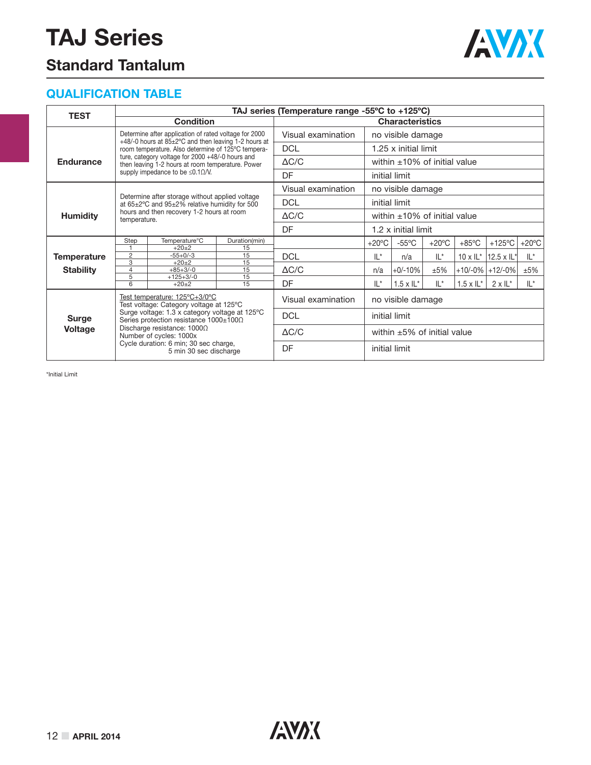### **Standard Tantalum**



#### **QUALIFICATION TABLE**

| <b>TEST</b>        |                     |                                                                                                               |                     | TAJ series (Temperature range -55°C to +125°C) |                   |                                    |                 |                            |                              |                 |  |  |
|--------------------|---------------------|---------------------------------------------------------------------------------------------------------------|---------------------|------------------------------------------------|-------------------|------------------------------------|-----------------|----------------------------|------------------------------|-----------------|--|--|
|                    |                     | <b>Condition</b>                                                                                              |                     |                                                |                   | <b>Characteristics</b>             |                 |                            |                              |                 |  |  |
|                    |                     | Determine after application of rated voltage for 2000<br>+48/-0 hours at 85±2°C and then leaving 1-2 hours at |                     | Visual examination                             | no visible damage |                                    |                 |                            |                              |                 |  |  |
|                    |                     | room temperature. Also determine of 125°C tempera-                                                            |                     | <b>DCL</b>                                     |                   | 1.25 x initial limit               |                 |                            |                              |                 |  |  |
| <b>Endurance</b>   |                     | ture, category voltage for 2000 +48/-0 hours and<br>then leaving 1-2 hours at room temperature. Power         |                     | $\Delta C/C$                                   |                   | within $\pm 10\%$ of initial value |                 |                            |                              |                 |  |  |
|                    |                     | supply impedance to be $\leq 0.1 \Omega/N$ .                                                                  |                     | DF                                             |                   | initial limit                      |                 |                            |                              |                 |  |  |
|                    |                     |                                                                                                               |                     | Visual examination                             |                   | no visible damage                  |                 |                            |                              |                 |  |  |
|                    |                     | Determine after storage without applied voltage<br>at 65±2°C and 95±2% relative humidity for 500              |                     | <b>DCL</b>                                     |                   | initial limit                      |                 |                            |                              |                 |  |  |
| <b>Humidity</b>    | temperature.        | hours and then recovery 1-2 hours at room                                                                     |                     | $\Delta C/C$                                   |                   | within $\pm 10\%$ of initial value |                 |                            |                              |                 |  |  |
|                    |                     |                                                                                                               |                     | DF                                             |                   | $1.2 \times$ initial limit         |                 |                            |                              |                 |  |  |
|                    | Step                | Temperature°C<br>$+20+2$                                                                                      | Duration(min)<br>15 |                                                | $+20^{\circ}$ C   | $-55^{\circ}$ C                    | $+20^{\circ}$ C | $+85^{\circ}$ C            | $+125^{\circ}$ C             | $+20^{\circ}$ C |  |  |
| <b>Temperature</b> | $\overline{c}$<br>3 | $-55+0/-3$<br>$+20+2$                                                                                         | 15<br>15            | <b>DCL</b>                                     | $IL^*$            | n/a                                | $IL^*$          |                            | $10 \times I$ L*  12.5 x IL* | IL*             |  |  |
| <b>Stability</b>   | $\overline{4}$      | $+85+3/-0$                                                                                                    | 15                  | $\Delta C/C$                                   | n/a               | $+0/-10%$                          | ±5%             |                            | $+10/-0\%$ +12/-0%           | ±5%             |  |  |
|                    | 5<br>6              | $+125+3/-0$<br>$+20+2$                                                                                        | 15<br>15            | DF                                             | $IL^*$            | $1.5 \times \mathsf{IL}^*$         | $IL^*$          | $1.5 \times \mathsf{IL}^*$ | $2 \times 11^{*}$            | $IL^*$          |  |  |
|                    |                     | Test temperature: 125°C+3/0°C<br>Test voltage: Category voltage at 125°C                                      |                     | Visual examination                             |                   | no visible damage                  |                 |                            |                              |                 |  |  |
| <b>Surge</b>       |                     | Surge voltage: 1.3 x category voltage at 125°C<br>Series protection resistance 1000±100Ω                      |                     | <b>DCL</b>                                     |                   | initial limit                      |                 |                            |                              |                 |  |  |
| <b>Voltage</b>     |                     | Discharge resistance: 1000Ω<br>Number of cycles: 1000x                                                        |                     | $\Delta C/C$                                   |                   | within $\pm 5\%$ of initial value  |                 |                            |                              |                 |  |  |
|                    |                     | Cycle duration: 6 min; 30 sec charge,<br>5 min 30 sec discharge                                               |                     | DF                                             | initial limit     |                                    |                 |                            |                              |                 |  |  |

\*Initial Limit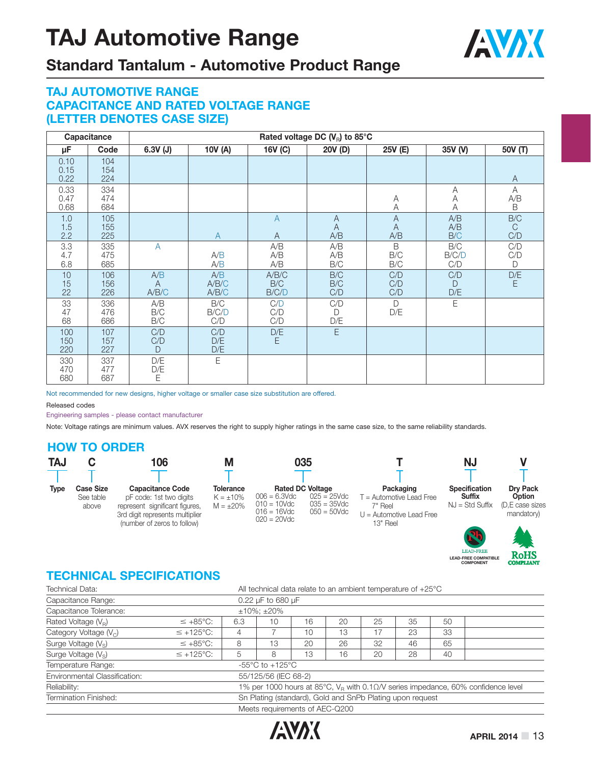

### **Standard Tantalum - Automotive Product Range**

#### **TAJ AUTOMOTIVE RANGE CAPACITANCE AND RATED VOLTAGE RANGE (LETTER DENOTES CASE SIZE)**

|                      | Capacitance       |                                |                       |                                  | Rated voltage DC $(V_{\rm R})$ to 85°C |                            |                            |                                                 |
|----------------------|-------------------|--------------------------------|-----------------------|----------------------------------|----------------------------------------|----------------------------|----------------------------|-------------------------------------------------|
| μF                   | Code              | $6.3V$ (J)                     | 10V (A)               | 16V (C)                          | 20V (D)                                | 25V (E)                    | 35V (V)                    | 50V (T)                                         |
| 0.10<br>0.15<br>0.22 | 104<br>154<br>224 |                                |                       |                                  |                                        |                            |                            | $\overline{A}$                                  |
| 0.33<br>0.47<br>0.68 | 334<br>474<br>684 |                                |                       |                                  |                                        | A<br>A                     | Α<br>Α<br>Α                | $\overline{A}$<br>$\mathsf{A/B}$<br>$\mathsf B$ |
| 1.0<br>1.5<br>2.2    | 105<br>155<br>225 |                                | $\mathsf{A}$          | $\overline{A}$<br>$\overline{A}$ | A<br>$\overline{A}$<br>A/B             | A<br>$\overline{A}$<br>A/B | A/B<br>A/B<br>B/C          | $\rm{B/C}$<br>$\mathsf{C}$<br>C/D               |
| 3.3<br>4.7<br>6.8    | 335<br>475<br>685 | $\overline{A}$                 | A/B<br>A/B            | A/B<br>A/B<br>A/B                | A/B<br>A/B<br>B/C                      | B<br>B/C<br>B/C            | B/C<br>B/C/D<br>C/D        | C/D<br>C/D<br>$\mathsf{D}$                      |
| 10<br>15<br>22       | 106<br>156<br>226 | A/B<br>$\overline{A}$<br>A/B/C | A/B<br>A/B/C<br>A/B/C | A/B/C<br>B/C<br>B/C/D            | B/C<br>B/C<br>C/D                      | C/D<br>C/D<br>C/D          | C/D<br>$\mathsf{D}$<br>D/E | D/E<br>E                                        |
| 33<br>47<br>68       | 336<br>476<br>686 | A/B<br>B/C<br>B/C              | B/C<br>B/C/D<br>C/D   | C/D<br>C/D<br>C/D                | C/D<br>D<br>D/E                        | D<br>D/E                   | Ε                          |                                                 |
| 100<br>150<br>220    | 107<br>157<br>227 | C/D<br>C/D<br>D                | C/D<br>D/E<br>D/E     | D/E<br>E.                        | E                                      |                            |                            |                                                 |
| 330<br>470<br>680    | 337<br>477<br>687 | D/E<br>D/E<br>Ε                | Ε                     |                                  |                                        |                            |                            |                                                 |

Not recommended for new designs, higher voltage or smaller case size substitution are offered.

Released codes

Engineering samples - please contact manufacturer

Note: Voltage ratings are minimum values. AVX reserves the right to supply higher ratings in the same case size, to the same reliability standards.

#### **HOW TO ORDER**

| <b>TAJ</b>  |                                        | 106                                                                                                                                                    | М                                                    | 035                                                                                                                                                    |                                                                                              | ΝJ                                                         |                                                            |
|-------------|----------------------------------------|--------------------------------------------------------------------------------------------------------------------------------------------------------|------------------------------------------------------|--------------------------------------------------------------------------------------------------------------------------------------------------------|----------------------------------------------------------------------------------------------|------------------------------------------------------------|------------------------------------------------------------|
|             |                                        |                                                                                                                                                        |                                                      |                                                                                                                                                        |                                                                                              |                                                            |                                                            |
| <b>Type</b> | <b>Case Size</b><br>See table<br>above | <b>Capacitance Code</b><br>pF code: 1st two digits<br>represent significant figures,<br>3rd digit represents multiplier<br>(number of zeros to follow) | <b>Tolerance</b><br>$K = \pm 10\%$<br>$M = \pm 20\%$ | <b>Rated DC Voltage</b><br>$006 = 6.3$ Vdc<br>$025 = 25$ Vdc<br>$035 = 35$ Vdc<br>$010 = 10$ Vdc<br>$016 = 16$ Vdc<br>$050 = 50$ Vdc<br>$020 = 20$ Vdc | Packaging<br>$T =$ Automotive Lead Free<br>7" Reel<br>$U =$ Automotive Lead Free<br>13" Reel | <b>Specification</b><br><b>Suffix</b><br>$NJ = Std Suffix$ | <b>Drv Pack</b><br>Option<br>(D.E case sizes<br>mandatory) |
|             |                                        |                                                                                                                                                        |                                                      |                                                                                                                                                        |                                                                                              |                                                            |                                                            |

#### **TECHNICAL SPECIFICATIONS**

| Technical Data:                 |                       | All technical data relate to an ambient temperature of $+25^{\circ}$ C |                                |    |    |    |    |    |                                                                                              |  |  |  |
|---------------------------------|-----------------------|------------------------------------------------------------------------|--------------------------------|----|----|----|----|----|----------------------------------------------------------------------------------------------|--|--|--|
| Capacitance Range:              |                       |                                                                        | 0.22 $\mu$ F to 680 $\mu$ F    |    |    |    |    |    |                                                                                              |  |  |  |
| Capacitance Tolerance:          |                       |                                                                        | $±10\%; ±20\%$                 |    |    |    |    |    |                                                                                              |  |  |  |
| Rated Voltage $(V_R)$           | $\leq +85^{\circ}C$ : | 6.3                                                                    | 10                             | 16 | 20 | 25 | 35 | 50 |                                                                                              |  |  |  |
| Category Voltage $(V_C)$        | $\leq$ +125°C:        | 4                                                                      |                                | 10 | 13 | 17 | 23 | 33 |                                                                                              |  |  |  |
| Surge Voltage (V <sub>s</sub> ) | $\leq +85^{\circ}$ C: | 8                                                                      | 13                             | 20 | 26 | 32 | 46 | 65 |                                                                                              |  |  |  |
| Surge Voltage $(V_s)$           | $\leq$ +125°C:        | 5                                                                      | 8                              | 13 | 16 | 20 | 28 | 40 |                                                                                              |  |  |  |
| Temperature Range:              |                       | -55 $\degree$ C to +125 $\degree$ C                                    |                                |    |    |    |    |    |                                                                                              |  |  |  |
| Environmental Classification:   |                       |                                                                        | 55/125/56 (IEC 68-2)           |    |    |    |    |    |                                                                                              |  |  |  |
| Reliability:                    |                       |                                                                        |                                |    |    |    |    |    | 1% per 1000 hours at 85°C, $V_R$ with 0.1 $\Omega$ /V series impedance, 60% confidence level |  |  |  |
| Termination Finished:           |                       | Sn Plating (standard), Gold and SnPb Plating upon request              |                                |    |    |    |    |    |                                                                                              |  |  |  |
|                                 |                       |                                                                        | Meets requirements of AEC-Q200 |    |    |    |    |    |                                                                                              |  |  |  |



**LEAD-FREE COMPATIBLE COMPONENT**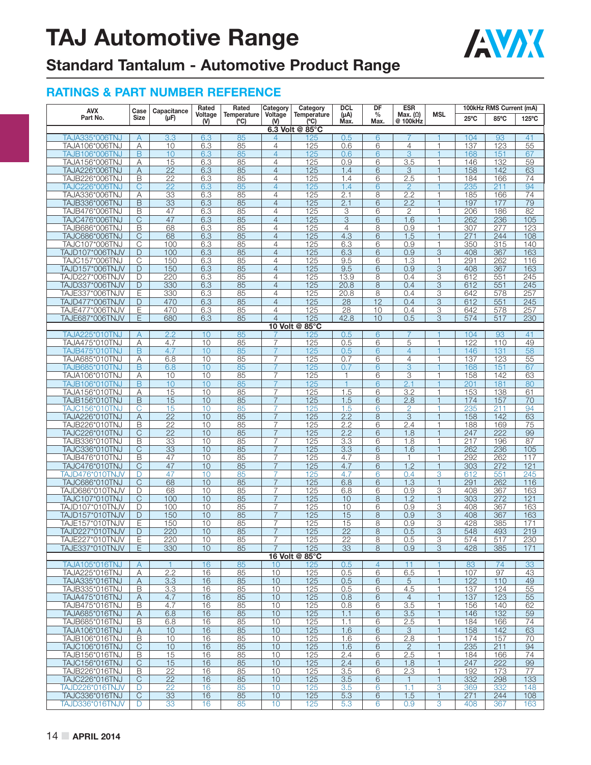

## **Standard Tantalum - Automotive Product Range**

| <b>AVX</b>                         | Case           | Capacitance                        | Rated          | Rated               | Category                         | Category            | <b>DCL</b>        | DF             | <b>ESR</b>                  |                     |                  | 100kHz RMS Current (mA) |            |
|------------------------------------|----------------|------------------------------------|----------------|---------------------|----------------------------------|---------------------|-------------------|----------------|-----------------------------|---------------------|------------------|-------------------------|------------|
| Part No.                           | <b>Size</b>    | $(\mu F)$                          | Voltage<br>(9) | Temperature<br>(°C) | Voltage<br>$(V)$                 | Temperature<br>(°C) | $(\mu A)$<br>Max. | $\%$<br>Max.   | Max. $(\Omega)$<br>@ 100kHz | <b>MSL</b>          | $25^{\circ}$ C   | 85°C                    | 125°C      |
|                                    |                |                                    |                |                     |                                  | 6.3 Volt @ 85°C     |                   |                |                             |                     |                  |                         |            |
| TAJA335*006TNJ                     | A              | 3.3                                | 6.3            | 85                  | 4                                | 125                 | 0.5               | 6              |                             |                     | 104              | 93                      | 41         |
| TAJA106*006TNJ                     | Α              | 10                                 | 6.3            | 85                  | $\overline{4}$                   | 125                 | 0.6               | 6              | 4                           | 1                   | 137              | 123                     | 55         |
| TAJB106*006TNJ                     | B              | 10                                 | 6.3            | 85                  | $\overline{4}$                   | 125                 | 0.6               | 6              | $\overline{3}$              | 1                   | 168              | 151                     | 67         |
| TAJA156*006TNJ                     | Α              | 15<br>$\overline{22}$              | 6.3            | 85<br>85            | $\overline{4}$<br>$\overline{4}$ | 125<br>125          | 0.9<br>1.4        | 6<br>6         | $\overline{3.5}$<br>3       | 1<br>$\mathbf{1}$   | 146<br>158       | 132<br>142              | 59<br>63   |
| TAJA226*006TNJ<br>TAJB226*006TNJ   | A<br>B         | $\overline{22}$                    | 6.3<br>6.3     | 85                  | $\overline{4}$                   | 125                 | 1.4               | 6              | 2.5                         | 1                   | 184              | 166                     | 74         |
| TAJC226*006TNJ                     | C              | $\overline{22}$                    | 6.3            | 85                  | $\overline{4}$                   | 125                 | 1.4               | 6              | $\overline{2}$              |                     | 235              | 211                     | 94         |
| TAJA336*006TNJ                     | Α              | 33                                 | 6.3            | 85                  | 4                                | 125                 | 2.1               | 8              | 2.2                         | 1                   | 185              | 166                     | 74         |
| TAJB336*006TNJ                     | B              | 33                                 | 6.3            | 85                  | $\overline{4}$                   | 125                 | 2.1               | 6              | 2.2                         | $\overline{1}$      | 197              | 177                     | 79         |
| TAJB476*006TNJ                     | B              | 47                                 | 6.3            | 85                  | 4                                | 125                 | 3                 | 6              | 2                           | 1                   | 206              | 186                     | 82         |
| TAJC476*006TNJ                     | C              | 47                                 | 6.3            | 85                  | $\overline{4}$                   | 125                 | 3                 | 6              | 1.6                         | 1                   | 262              | 236                     | 105        |
| TAJB686*006TNJ                     | B              | 68                                 | 6.3            | 85                  | $\overline{4}$                   | 125                 | $\overline{4}$    | 8              | 0.9                         | 1                   | 307              | 277                     | 123        |
| <b>TAJC686*006TNJ</b>              | C              | 68                                 | 6.3            | 85                  | $\overline{4}$                   | 125                 | 4.3               | 6              | 1.5                         | $\mathbf{1}$        | 271              | 244                     | 108        |
| TAJC107*006TNJ                     | C              | 100                                | 6.3            | 85                  | 4                                | 125                 | 6.3               | 6              | 0.9                         | 1                   | 350              | 315                     | 140        |
| TAJD107*006TNJV<br>TAJC157*006TNJ  | D<br>C         | 100<br>150                         | 6.3<br>6.3     | 85<br>85            | $\overline{4}$<br>$\overline{4}$ | 125<br>125          | 6.3<br>9.5        | 6<br>6         | 0.9<br>1.3                  | $\overline{3}$<br>1 | 408<br>291       | 367<br>262              | 163<br>116 |
| TAJD157*006TNJV                    | D              | 150                                | 6.3            | 85                  | $\overline{4}$                   | 125                 | 9.5               | 6              | 0.9                         | 3                   | 408              | 367                     | 163        |
| TAJD227*006TNJV                    | D              | 220                                | 6.3            | 85                  | $\overline{4}$                   | 125                 | 13.9              | 8              | 0.4                         | 3                   | 612              | 551                     | 245        |
| TAJD337*006TNJV                    | D              | 330                                | 6.3            | 85                  | $\overline{4}$                   | 125                 | 20.8              | 8              | 0.4                         | 3                   | 612              | 551                     | 245        |
| TAJE337*006TNJV                    | E              | 330                                | 6.3            | 85                  | 4                                | 125                 | 20.8              | 8              | 0.4                         | 3                   | 642              | 578                     | 257        |
| TAJD477*006TNJV                    | D              | 470                                | 6.3            | 85                  | $\overline{4}$                   | 125                 | 28                | 12             | 0.4                         | 3                   | 612              | 551                     | 245        |
| TAJE477*006TNJV                    | Ε              | 470                                | 6.3            | 85                  | 4                                | 125                 | 28                | 10             | 0.4                         | 3                   | 642              | 578                     | 257        |
| <b>TAJE687*006TNJV</b>             | Ε              | 680                                | 6.3            | 85                  | $\overline{4}$                   | 125                 | 42.8              | 10             | 0.5                         | 3                   | 574              | 517                     | 230        |
|                                    |                |                                    |                |                     |                                  | 10 Volt @ 85°C      |                   |                |                             |                     |                  |                         |            |
| TAJA225*010TNJ<br>TAJA475*010TNJ   | A<br>Α         | 2.2<br>4.7                         | 10<br>10       | 85<br>85            | $\overline{7}$                   | 125<br>125          | 0.5<br>0.5        | 6<br>6         | 5                           | 1                   | 104<br>122       | 93<br>110               | 41<br>49   |
| TAJB475*010TNJ                     | B              | 4.7                                | 10             | 85                  | $\overline{7}$                   | 125                 | 0.5               | 6              | $\overline{4}$              | 1                   | 146              | 131                     | 58         |
| <b>TAJA685*010TNJ</b>              | Α              | 6.8                                | 10             | 85                  | 7                                | 125                 | 0.7               | 6              | 4                           | 1                   | 137              | 123                     | 55         |
| TAJB685*010TNJ                     | B              | 6.8                                | 10             | 85                  | 7                                | 125                 | 0.7               | 6              | 3                           | 1                   | 168              | 151                     | 67         |
| TAJA106*010TNJ                     | Α              | 10                                 | 10             | 85                  | 7                                | 125                 | 1                 | 6              | 3                           | 1                   | 158              | 142                     | 63         |
| TAJB106*010TNJ                     | B              | 10                                 | 10             | 85                  | 7                                | 125                 | $\mathbf{1}$      | 6              | 2.1                         |                     | $\overline{201}$ | 181                     | 80         |
| TAJA156*010TNJ                     | Α              | 15                                 | 10             | 85                  | $\overline{7}$                   | 125                 | 1.5               | 6              | 3.2                         | 1                   | 153              | 138                     | 61         |
| TAJB156*010TNJ                     | B              | 15                                 | 10             | 85                  | $\overline{7}$                   | 125                 | 1.5               | 6              | 2.8                         | $\overline{1}$      | 174              | 157                     | 70         |
| TAJC156*010TNJ                     | С              | 15                                 | 10             | 85                  | 7                                | 125                 | 1.5               | 6              | 2                           | 1                   | 235              | 211                     | 94         |
| TAJA226*010TNJ                     | A              | $\overline{22}$                    | 10             | 85                  | $\overline{7}$                   | 125                 | 2.2               | 8              | 3                           | $\mathbf{1}$        | 158              | 142                     | 63         |
| TAJB226*010TNJ                     | B<br>C         | $\overline{22}$<br>$\overline{22}$ | 10<br>10       | 85<br>85            | $\overline{7}$<br>7              | 125<br>125          | 2.2               | 6<br>6         | 2.4<br>1.8                  | 1<br>$\overline{1}$ | 188<br>247       | 169<br>222              | 75         |
| TAJC226*010TNJ<br>TAJB336*010TNJ   | B              | 33                                 | 10             | 85                  | $\overline{7}$                   | 125                 | 2.2<br>3.3        | 6              | 1.8                         | 1                   | 217              | 196                     | 99<br>87   |
| <b>TAJC336*010TNJ</b>              | $\overline{C}$ | $\overline{33}$                    | 10             | 85                  | $\overline{7}$                   | 125                 | $\overline{3.3}$  | 6              | 1.6                         | $\mathbf{1}$        | 262              | 236                     | 105        |
| TAJB476*010TNJ                     | B              | 47                                 | 10             | 85                  | 7                                | 125                 | 4.7               | 8              | 1                           | 1                   | 292              | 262                     | 117        |
| TAJC476*010TNJ                     | $\mathsf{C}$   | 47                                 | 10             | 85                  | $\overline{7}$                   | 125                 | 4.7               | 6              | 1.2                         | $\mathbf{1}$        | 303              | 272                     | 121        |
| TAJD476*010TNJV                    | D              | 47                                 | 10             | 85                  | 7                                | 125                 | 4.7               | 6              | 0.4                         | 3                   | 612              | 551                     | 245        |
| TAJC686*010TNJ                     | C              | 68                                 | 10             | 85                  | 7                                | 125                 | 6.8               | 6              | 1.3                         | $\mathbf{1}$        | 291              | 262                     | 116        |
| TAJD686*010TNJV                    | D              | 68                                 | 10             | 85                  | $\overline{7}$                   | 125                 | 6.8               | 6              | 0.9                         | 3                   | 408              | 367                     | 163        |
| TAJC107*010TNJ                     | $\mathsf C$    | 100                                | 10             | 85                  | $\overline{7}$                   | 125                 | 10                | 8              | 1.2                         | $\mathbf{1}$        | 303              | 272                     | 121        |
| TAJD107*010TNJV                    | D              | 100                                | 10             | 85                  | 7                                | 125                 | 10                | 6              | 0.9                         | 3                   | 408              | 367                     | 163        |
| TAJD157*010TNJV                    | D<br>E         | 150                                | 10<br>10       | 85<br>85            | 7<br>$\overline{7}$              | 125                 | 15<br>15          | 8              | 0.9                         | 3<br>3              | 408<br>428       | 367<br>385              | 163        |
| TAJE157*010TNJV<br>TAJD227*010TNJV | D              | 150<br>220                         | 10             | 85                  |                                  | 125<br>125          | $\overline{22}$   | 8<br>8         | 0.9<br>0.5                  | 3                   | 548              | 493                     | 171<br>219 |
| TAJE227*010TNJV                    | Ε              | 220                                | 10             | 85                  | 7                                | 125                 | 22                | 8              | 0.5                         | 3                   | 574              | 517                     | 230        |
| TAJE337*010TNJV                    | E              | 330                                | 10             | 85                  | $\overline{7}$                   | 125                 | 33                | 8              | 0.9                         | 3                   | 428              | 385                     | 171        |
|                                    |                |                                    |                |                     |                                  | 16 Volt @ 85°C      |                   |                |                             |                     |                  |                         |            |
| <b>TAJA105*016TNJ</b>              | A              | $\mathbf{1}$                       | 16             | 85                  | 10                               | 125                 | 0.5               | $\overline{4}$ | 11                          | 1.                  | 83               | 74                      | 33         |
| TAJA225*016TNJ                     | Α              | 2.2                                | 16             | 85                  | 10                               | 125                 | 0.5               | 6              | 6.5                         | $\mathbf{1}$        | 107              | 97                      | 43         |
| TAJA335*016TNJ                     | Α              | 3.3                                | 16             | 85                  | 10                               | 125                 | 0.5               | 6              | 5                           | $\mathbf{1}$        | 122              | 110                     | 49         |
| TAJB335*016TNJ                     | B              | 3.3                                | 16             | 85                  | 10                               | 125                 | 0.5               | 6              | 4.5                         | $\mathbf{1}$        | 137              | 124                     | 55         |
| TAJA475*016TNJ                     | A              | 4.7                                | 16             | 85                  | 10                               | 125                 | 0.8               | 6              | $\overline{4}$              | $\mathbf{1}$        | 137              | 123                     | 55         |
| TAJB475*016TNJ                     | $\overline{B}$ | 4.7                                | 16             | 85                  | 10                               | 125                 | 0.8               | 6              | 3.5                         | $\mathbf{1}$        | 156              | 140                     | 62         |
| TAJA685*016TNJ<br>TAJB685*016TNJ   | A<br>B         | 6.8<br>6.8                         | 16<br>16       | 85<br>85            | 10<br>10                         | 125<br>125          | 1.1<br>1.1        | 6<br>6         | 3.5<br>2.5                  | $\mathbf{1}$<br>1   | 146<br>184       | 132<br>166              | 59<br>74   |
| UAT016*0016 TAJ                    | Α              | 10                                 | 16             | 85                  | 10                               | 125                 | 1.6               | 6              | 3                           | $\mathbf{1}$        | 158              | 142                     | 63         |
| TAJB106*016TNJ                     | В              | 10                                 | 16             | 85                  | 10                               | 125                 | 1.6               | 6              | 2.8                         | 1                   | 174              | 157                     | 70         |
| TAJC106*016TNJ                     | $\mathsf{C}$   | 10                                 | 16             | 85                  | 10                               | 125                 | 1.6               | 6              | 2                           | $\mathbf{1}$        | 235              | 211                     | 94         |
| TAJB156*016TNJ                     | B              | 15                                 | 16             | 85                  | 10                               | 125                 | 2.4               | 6              | 2.5                         | $\mathbf{1}$        | 184              | 166                     | 74         |
| TAJC156*016TNJ                     | $\overline{C}$ | 15                                 | 16             | 85                  | 10                               | 125                 | 2.4               | 6              | 1.8                         | $\mathbf{1}$        | 247              | 222                     | 99         |
| TAJB226*016TNJ                     | B              | 22                                 | 16             | 85                  | 10                               | 125                 | 3.5               | 6              | 2.3                         | $\mathbf{1}$        | 192              | 173                     | 77         |
| TAJC226*016TNJ                     | C              | $\overline{22}$                    | 16             | 85                  | 10                               | 125                 | 3.5               | 6              | $\mathbf{1}$                | $\mathbf{1}$        | 332              | 298                     | 133        |
| TAJD226*016TNJV                    | D              | 22                                 | 16             | 85                  | 10                               | 125                 | 3.5               | 6              | 1.1                         | 3                   | 369              | 332                     | 148        |
| TAJC336*016TNJ                     | $\mathsf{C}$   | 33                                 | 16             | 85                  | 10                               | 125                 | 5.3               | 6              | 1.5                         | $\mathbf{1}$        | 271              | 244                     | 108        |
| TAJD336*016TNJV                    | D              | 33                                 | 16             | 85                  | 10                               | 125                 | 5.3               | 6              | 0.9                         | 3                   | 408              | 367                     | 163        |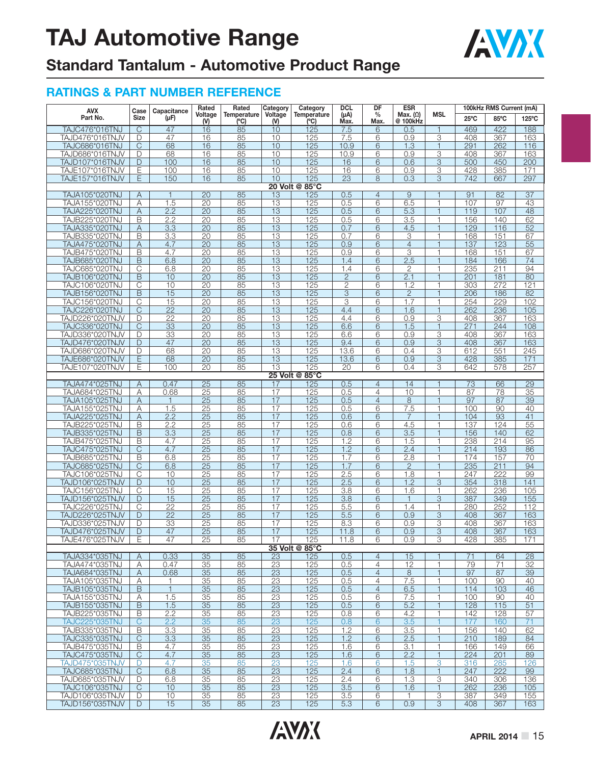

## **Standard Tantalum - Automotive Product Range**

| <b>AVX</b>                       | Case                         | Capacitance     | Rated                 | Rated               | Category              | Category                  | <b>DCL</b>        | DF                    | <b>ESR</b>                  |                              | 100kHz RMS Current (mA) |            |                       |
|----------------------------------|------------------------------|-----------------|-----------------------|---------------------|-----------------------|---------------------------|-------------------|-----------------------|-----------------------------|------------------------------|-------------------------|------------|-----------------------|
| Part No.                         | <b>Size</b>                  | $(\mu F)$       | Voltage<br>$(V)$      | Temperature<br>(°C) | Voltage<br>(N)        | <b>Temperature</b><br>(C) | $(\mu A)$<br>Max. | $\frac{0}{0}$<br>Max. | Max. $(\Omega)$<br>@ 100kHz | <b>MSL</b>                   | $25^{\circ}$ C          | 85°C       | 125°C                 |
| <b>TAJC476*016TNJ</b>            | $\overline{\mathbb{C}}$      | 47              | 16                    | 85                  | 10                    | 125                       | 7.5               | 6                     | 0.5                         | 1                            | 469                     | 422        | 188                   |
| TAJD476*016TNJV                  | D                            | 47              | 16                    | 85                  | 10                    | 125                       | 7.5               | 6                     | 0.9                         | 3                            | 408                     | 367        | 163                   |
| TAJC686*016TNJ                   | $\mathsf{C}$                 | 68              | 16                    | 85                  | 10                    | 125                       | 10.9              | 6                     | 1.3                         | 1                            | 291                     | 262        | 116                   |
| TAJD686*016TNJV                  | D                            | 68              | 16                    | 85                  | 10                    | 125                       | 10.9              | 6                     | 0.9                         | 3                            | 408                     | 367        | 163                   |
| TAJD107*016TNJV                  | D                            | 100             | 16                    | 85                  | 10                    | 125                       | 16                | 6                     | 0.6                         | 3                            | 500                     | 450        | 200                   |
| TAJE107*016TNJV                  | Ε                            | 100             | 16                    | 85                  | 10                    | 125                       | 16                | 6                     | 0.9                         | 3                            | 428                     | 385        | 171                   |
| TAJE157*016TNJV                  | E                            | 150             | 16                    | 85                  | 10                    | 125                       | 23                | 8                     | 0.3                         | 3                            | 742                     | 667        | 297                   |
|                                  |                              |                 |                       |                     |                       | 20 Volt @ 85°C            |                   |                       |                             |                              |                         |            |                       |
| TAJA105*020TNJ                   | Α                            | $\mathbf{1}$    | 20                    | 85                  | 13                    | 125                       | 0.5               | $\overline{4}$        | 9                           | $\mathbf{1}$                 | 91                      | 82         | 37                    |
| TAJA155*020TNJ                   | А                            | 1.5             | 20                    | 85                  | 13                    | 125                       | 0.5               | 6                     | 6.5                         | 1                            | 107                     | 97         | 43                    |
| <b>TAJA225*020TNJ</b>            | Α                            | 2.2             | 20                    | 85                  | $\overline{13}$       | $\overline{125}$          | 0.5               | 6                     | 5.3                         | $\mathbf{1}$                 | 119                     | 107        | 48                    |
| TAJB225*020TNJ                   | B                            | 2.2             | 20                    | 85                  | 13                    | 125                       | 0.5               | 6                     | 3.5                         | 1                            | 156                     | 140        | 62                    |
| TAJA335*020TNJ                   | Α                            | 3.3             | 20                    | 85                  | 13                    | 125                       | 0.7               | 6                     | 4.5                         | $\overline{1}$               | 129                     | 116        | 52                    |
| TAJB335*020TNJ                   | В                            | 3.3             | 20                    | 85                  | 13                    | 125                       | 0.7               | 6                     | 3                           | $\mathbf{1}$                 | 168                     | 151        | 67                    |
| TAJA475*020TNJ                   | Α                            | 4.7             | 20                    | 85                  | 13                    | 125                       | 0.9               | 6                     | $\overline{4}$              | $\mathbf{1}$                 | 137                     | 123        | 55                    |
| TAJB475*020TNJ                   | B                            | 4.7             | 20                    | 85                  | 13<br>$\overline{13}$ | 125                       | 0.9               | 6                     | 3<br>2.5                    | 1<br>$\mathbf{1}$            | 168                     | 151        | 67                    |
| TAJB685*020TNJ<br>TAJC685*020TNJ | B<br>$\overline{\mathrm{C}}$ | 6.8<br>6.8      | 20<br>20              | 85<br>85            | 13                    | 125<br>125                | 1.4<br>1.4        | 6<br>6                | $\mathbf{2}$                | 1                            | 184<br>235              | 166<br>211 | 74<br>$\overline{94}$ |
| TAJB106*020TNJ                   | B                            | 10              | 20                    | 85                  | 13                    | 125                       | $\mathbf{2}$      | 6                     | 2.1                         | $\overline{1}$               | 201                     | 181        | 80                    |
| TAJC106*020TNJ                   | С                            | 10              | 20                    | 85                  | $\overline{13}$       | 125                       | $\overline{2}$    | 6                     | 1.2                         | $\mathbf{1}$                 | 303                     | 272        | 121                   |
| TAJB156*020TNJ                   | $\overline{B}$               | 15              | 20                    | 85                  | 13                    | 125                       | $\overline{3}$    | 6                     | $\overline{2}$              | $\mathbf{1}$                 | 206                     | 186        | 82                    |
| TAJC156*020TNJ                   | C                            | 15              | 20                    | 85                  | 13                    | 125                       | 3                 | 6                     | 1.7                         | 1                            | 254                     | 229        | 102                   |
| TAJC226*020TNJ                   | $\overline{\text{C}}$        | $\overline{22}$ | $\overline{20}$       | 85                  | $\overline{13}$       | 125                       | 4.4               | 6                     | 1.6                         | $\mathbf{1}$                 | 262                     | 236        | 105                   |
| TAJD226*020TNJV                  | D                            | $\overline{22}$ | 20                    | 85                  | 13                    | 125                       | 4.4               | 6                     | 0.9                         | 3                            | 408                     | 367        | 163                   |
| TAJC336*020TNJ                   | C                            | 33              | 20                    | 85                  | 13                    | 125                       | 6.6               | 6                     | 1.5                         | $\mathbf{1}$                 | 271                     | 244        | 108                   |
| TAJD336*020TNJV                  | D                            | 33              | 20                    | 85                  | 13                    | 125                       | 6.6               | 6                     | 0.9                         | 3                            | 408                     | 367        | 163                   |
| TAJD476*020TNJV                  | D                            | 47              | 20                    | 85                  | 13                    | 125                       | 9.4               | 6                     | 0.9                         | 3                            | 408                     | 367        | 163                   |
| TAJD686*020TNJV                  | D                            | 68              | 20                    | 85                  | 13                    | 125                       | 13.6              | 6                     | 0.4                         | 3                            | 612                     | 551        | 245                   |
| TAJE686*020TNJV                  | E                            | 68              | 20                    | 85                  | $\overline{13}$       | 125                       | 13.6              | 6                     | 0.9                         | 3                            | 428                     | 385        | 171                   |
| TAJE107*020TNJV                  | E                            | 100             | 20                    | 85                  | $\overline{13}$       | 125                       | $\overline{20}$   | 6                     | 0.4                         | 3                            | 642                     | 578        | 257                   |
|                                  |                              |                 |                       |                     |                       | 25 Volt @ 85°C            |                   |                       |                             |                              |                         |            |                       |
| TAJA474*025TNJ                   | Α                            | 0.47            | 25                    | 85                  | 17                    | 125                       | 0.5               | 4                     | 14                          | $\overline{\mathbf{1}}$      | 73                      | 66         | $\overline{29}$       |
| TAJA684*025TNJ                   | Α                            | 0.68            | 25                    | 85                  | $\overline{17}$       | 125                       | 0.5               | $\overline{4}$        | 10                          | 1                            | 87                      | 78         | $\overline{35}$       |
| TAJA105*025TNJ                   | A                            | $\mathbf{1}$    | 25                    | 85                  | 17                    | 125                       | 0.5               | $\overline{4}$        | 8                           | 1                            | 97                      | 87         | 39                    |
| TAJA155*025TNJ                   | Α                            | 1.5             | 25                    | 85                  | 17                    | 125                       | 0.5               | 6                     | 7.5                         | 1                            | 100                     | 90         | 40                    |
| TAJA225*025TNJ                   | Α                            | 2.2             | 25                    | 85                  | 17                    | 125                       | 0.6               | 6                     | $\overline{7}$              | $\overline{1}$               | 104                     | 93         | 41                    |
| TAJB225*025TNJ                   | B                            | 2.2             | 25                    | 85                  | 17                    | 125                       | 0.6               | 6                     | 4.5                         | 1                            | 137                     | 124        | 55                    |
| TAJB335*025TNJ<br>TAJB475*025TNJ | B<br>B                       | 3.3             | $\overline{25}$<br>25 | 85<br>85            | 17<br>$\overline{17}$ | 125<br>125                | 0.8<br>1.2        | 6                     | $\overline{3.5}$<br>1.5     | $\mathbf{1}$<br>$\mathbf{1}$ | 156<br>238              | 140<br>214 | 62<br>95              |
| TAJC475*025TNJ                   | $\mathsf C$                  | 4.7<br>4.7      |                       | 85                  | 17                    | 125                       | 1.2               | 6<br>6                | 2.4                         | $\mathbf{1}$                 | 214                     | 193        | 86                    |
| TAJB685*025TNJ                   | B                            | 6.8             | 25<br>25              | 85                  | $\overline{17}$       | 125                       | 1.7               | 6                     | 2.8                         | 1                            | 174                     | 157        | 70                    |
| TAJC685*025TNJ                   | $\overline{\mathrm{C}}$      | 6.8             | $\overline{25}$       | 85                  | $\overline{17}$       | 125                       | 1.7               | 6                     | $\overline{2}$              | $\overline{1}$               | 235                     | 211        | $\overline{94}$       |
| TAJC106*025TNJ                   | C                            | 10              | 25                    | 85                  | 17                    | 125                       | 2.5               | 6                     | 1.8                         | 1                            | 247                     | 222        | 99                    |
| TAJD106*025TNJV                  | D                            | 10              | 25                    | 85                  | 17                    | 125                       | 2.5               | 6                     | 1.2                         | $\overline{3}$               | 354                     | 318        | 141                   |
| TAJC156*025TNJ                   | C                            | 15              | 25                    | 85                  | 17                    | 125                       | 3.8               | 6                     | 1.6                         | 1                            | 262                     | 236        | 105                   |
| TAJD156*025TNJV                  | D                            | 15              | 25                    | 85                  | 17                    | 125                       | 3.8               | 6                     | $\mathbf{1}$                | 3                            | 387                     | 349        | 155                   |
| TAJC226*025TNJ                   | $\overline{\text{C}}$        | $\overline{22}$ | 25                    | 85                  | 17                    | 125                       | 5.5               | 6                     | 1.4                         | 1                            | 280                     | 252        | 112                   |
| TAJD226*025TNJV                  | D                            | $\overline{22}$ | 25                    | 85                  | 17                    | 125                       | 5.5               | 6                     | 0.9                         | 3                            | 408                     | 367        | 163                   |
| TAJD336*025TNJV                  | D                            | 33              | 25                    | 85                  | 17                    | 125                       | 8.3               | 6                     | 0.9                         | 3                            | 408                     | 367        | 163                   |
| TAJD476*025TNJV                  | D                            | 47              | 25                    | 85                  | 17                    | 125                       | 11.8              | 6                     | 0.9                         | 3                            | 408                     | 367        | 163                   |
| TAJE476*025TNJV                  | Е                            | 47              | <u>25</u>             | <u>85</u>           | 17                    | 125                       | 11.8              | 6                     | 0.9                         | 3                            | 428                     | 385        | 171                   |
|                                  |                              |                 |                       |                     |                       | 35 Volt @ 85°C            |                   |                       |                             |                              |                         |            |                       |
| TAJA334*035TNJ                   | Α                            | 0.33            | 35                    | 85                  | 23                    | 125                       | 0.5               | $\overline{4}$        | 15                          | 1                            | 71                      | 64         | 28                    |
| TAJA474*035TNJ                   | Α                            | 0.47            | 35                    | 85                  | 23                    | 125                       | 0.5               | $\overline{4}$        | 12                          | 1                            | 79                      | 71         | 32                    |
| TAJA684*035TNJ                   | Α                            | 0.68            | 35                    | 85                  | 23                    | 125                       | 0.5               | $\overline{4}$        | 8                           | $\mathbf{1}$                 | 97                      | 87         | 39                    |
| TAJA105*035TNJ                   | Α                            | $\mathbf{1}$    | 35                    | 85                  | 23                    | 125                       | 0.5               | $\overline{4}$        | 7.5                         | 1                            | 100                     | 90         | 40                    |
| TAJB105*035TNJ                   | B                            | $\mathbf{1}$    | 35                    | 85                  | 23                    | 125                       | 0.5               | $\overline{4}$        | 6.5                         | $\mathbf{1}$                 | 114                     | 103        | 46                    |
| TAJA155*035TNJ                   | Α                            | 1.5             | 35                    | 85                  | 23                    | 125                       | 0.5               | 6                     | 7.5                         | 1<br>$\mathbf{1}$            | 100                     | 90         | 40                    |
| TAJB155*035TNJ<br>TAJB225*035TNJ | B<br>В                       | 1.5<br>2.2      | 35<br>35              | 85<br>85            | 23<br>23              | 125<br>125                | 0.5<br>0.8        | 6<br>6                | 5.2<br>4.2                  | 1                            | 128<br>142              | 115<br>128 | 51<br>57              |
| TAJC225*035TNJ                   | C                            | 2.2             | 35                    | 85                  | 23                    | 125                       | 0.8               | 6                     | 3.5                         |                              | 177                     | 160        | 71                    |
| TAJB335*035TNJ                   | B                            | 3.3             | 35                    | 85                  | 23                    | 125                       | 1.2               | 6                     | 3.5                         | 1                            | 156                     | 140        | 62                    |
| TAJC335*035TNJ                   | $\overline{C}$               | 3.3             | 35                    | 85                  | 23                    | 125                       | 1.2               | 6                     | 2.5                         | $\mathbf{1}$                 | 210                     | 189        | 84                    |
| TAJB475*035TNJ                   | $\mathsf B$                  | 4.7             | 35                    | 85                  | 23                    | 125                       | 1.6               | 6                     | 3.1                         | 1                            | 166                     | 149        | 66                    |
| TAJC475*035TNJ                   | $\mathsf C$                  | 4.7             | 35                    | 85                  | 23                    | 125                       | 1.6               | 6                     | 2.2                         | $\mathbf{1}$                 | 224                     | 201        | 89                    |
| TAJD475*035TNJV                  | D                            | 4.7             | 35                    | 85                  | 23                    | 125                       | 1.6               | 6                     | 1.5                         | 3                            | 316                     | 285        | 126                   |
| TAJC685*035TNJ                   | C                            | 6.8             | 35                    | 85                  | 23                    | 125                       | 2.4               | 6                     | 1.8                         | $\mathbf{1}$                 | 247                     | 222        | 99                    |
| TAJD685*035TNJV                  | D                            | 6.8             | 35                    | 85                  | 23                    | 125                       | 2.4               | 6                     | 1.3                         | $\overline{3}$               | 340                     | 306        | 136                   |
| TAJC106*035TNJ                   | $\mathsf{C}$                 | 10              | 35                    | 85                  | 23                    | 125                       | 3.5               | 6                     | 1.6                         | $\mathbf{1}$                 | 262                     | 236        | 105                   |
| TAJD106*035TNJV                  | D                            | 10              | 35                    | 85                  | 23                    | 125                       | 3.5               | 6                     | 1                           | 3                            | 387                     | 349        | 155                   |
| TAJD156*035TNJV                  | D                            | 15              | 35                    | 85                  | 23                    | 125                       | 5.3               | 6                     | 0.9                         | $\overline{3}$               | 408                     | 367        | 163                   |
|                                  |                              |                 |                       |                     |                       |                           |                   |                       |                             |                              |                         |            |                       |

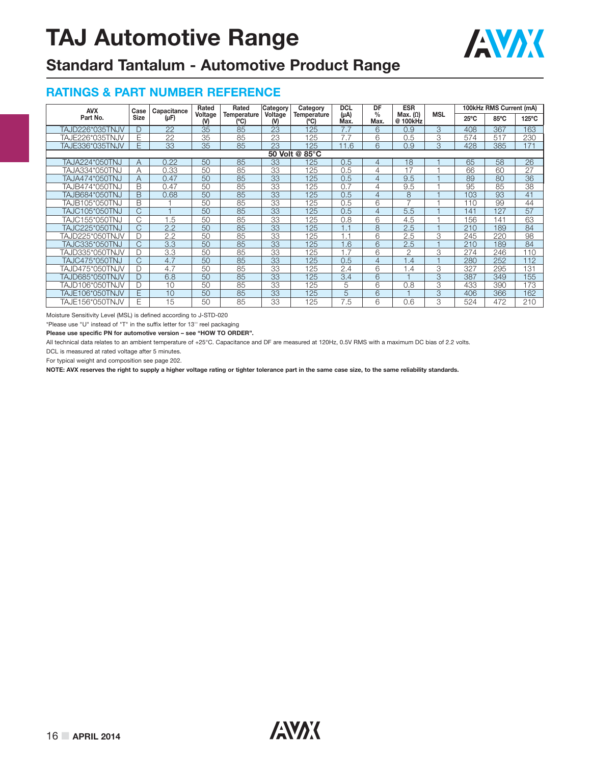

### **Standard Tantalum - Automotive Product Range**

#### **RATINGS & PART NUMBER REFERENCE**

| <b>AVX</b>      | Case         | Capacitance     | Rated                   | Rated                      | Category     | Category            | <b>DCL</b>        | DF                    | <b>ESR</b>                  |            | 100kHz RMS Current (mA) |                |                 |
|-----------------|--------------|-----------------|-------------------------|----------------------------|--------------|---------------------|-------------------|-----------------------|-----------------------------|------------|-------------------------|----------------|-----------------|
| Part No.        | <b>Size</b>  | (µF)            | Voltage<br>$\mathsf{M}$ | <b>Temperature</b><br>(°C) | Voltage<br>M | Temperature<br>(°C) | $(\mu A)$<br>Max. | $\frac{0}{0}$<br>Max. | Max. $(\Omega)$<br>@ 100kHz | <b>MSL</b> | $25^{\circ}$ C          | $85^{\circ}$ C | $125^{\circ}$ C |
| TAJD226*035TNJV |              | 22              | 35                      | 85                         | 23           | 125                 | 7.7               | 6                     | 0.9                         | 3          | 408                     | 367            | 163             |
| TAJE226*035TNJV | E            | $\overline{22}$ | $\overline{35}$         | 85                         | 23           | 125                 | 7.7               | 6                     | 0.5                         | 3          | 574                     | 517            | 230             |
| TAJE336*035TNJV | F            | $\overline{33}$ | 35                      | 85                         | 23           | 125                 | 11.6              | 6                     | 0.9                         | 3          | 428                     | 385            | 171             |
| 50 Volt @ 85°C  |              |                 |                         |                            |              |                     |                   |                       |                             |            |                         |                |                 |
| TAJA224*050TNJ  | A            | 0.22            | 50                      | 85                         | 33           | 125                 | 0.5               | 4                     | 18                          |            | 65                      | 58             | 26              |
| TAJA334*050TNJ  | Α            | 0.33            | 50                      | 85                         | 33           | 125                 | 0.5               | 4                     | 17                          |            | 66                      | 60             | 27              |
| TAJA474*050TNJ  | A            | 0.47            | 50                      | 85                         | 33           | 125                 | 0.5               | $\overline{4}$        | 9.5                         |            | 89                      | 80             | 36              |
| TAJB474*050TNJ  | B            | 0.47            | 50                      | 85                         | 33           | 125                 | 0.7               | 4                     | 9.5                         |            | 95                      | 85             | $\overline{38}$ |
| TAJB684*050TNJ  | <sub>B</sub> | 0.68            | 50                      | 85                         | 33           | 125                 | 0.5               | 4                     | 8                           |            | 103                     | 93             | 41              |
| TAJB105*050TNJ  | B            |                 | 50                      | 85                         | 33           | 125                 | 0.5               | 6                     | $\overline{7}$              |            | 110                     | 99             | 44              |
| TAJC105*050TNJ  | C.           |                 | 50                      | 85                         | 33           | 125                 | 0.5               | 4                     | 5.5                         |            | 141                     | 127            | $\overline{57}$ |
| TAJC155*050TNJ  | C            | 1.5             | 50                      | 85                         | 33           | 125                 | 0.8               | 6                     | 4.5                         |            | 156                     | 141            | 63              |
| TAJC225*050TNJ  | C.           | 2.2             | 50                      | 85                         | 33           | 125                 | 1.1               | 8                     | 2.5                         |            | 210                     | 189            | 84              |
| TAJD225*050TNJV |              | 2.2             | 50                      | 85                         | 33           | 125                 | 1.1               | 6                     | 2.5                         | 3          | 245                     | 220            | 98              |
| TAJC335*050TNJ  | C,           | 3.3             | 50                      | 85                         | 33           | 125                 | .6                | 6                     | 2.5                         |            | 210                     | 189            | 84              |
| TAJD335*050TNJV |              | 3.3             | 50                      | 85                         | 33           | 125                 | .7                | 6                     | $\mathfrak{D}$              | 3          | 274                     | 246            | 110             |
| TAJC475*050TNJ  | C,           | 4.7             | 50                      | 85                         | 33           | 125                 | 0.5               | 4                     | 1.4                         |            | 280                     | 252            | 112             |
| TAJD475*050TNJV |              | 4.7             | 50                      | 85                         | 33           | 125                 | 2.4               | 6                     | 1.4                         | 3          | 327                     | 295            | 131             |
| TAJD685*050TNJV |              | 6.8             | 50                      | 85                         | 33           | 125                 | 3.4               | 6                     |                             | 3          | 387                     | 349            | 155             |
| TAJD106*050TNJV |              | 10              | 50                      | 85                         | 33           | 125                 | 5                 | 6                     | 0.8                         | 3          | 433                     | 390            | 173             |
| TAJE106*050TNJV | F            | 10              | 50                      | 85                         | 33           | 125                 | 5                 | 6                     |                             | 3          | 406                     | 366            | 162             |
| TAJE156*050TNJV | F            | 15              | 50                      | 85                         | 33           | 125                 | 7.5               | 6                     | 0.6                         | 3          | 524                     | 472            | 210             |

Moisture Sensitivity Level (MSL) is defined according to J-STD-020

\*Please use "U" instead of "T" in the suffix letter for 13'' reel packaging

**Please use specific PN for automotive version – see "HOW TO ORDER".**

All technical data relates to an ambient temperature of +25°C. Capacitance and DF are measured at 120Hz, 0.5V RMS with a maximum DC bias of 2.2 volts.

DCL is measured at rated voltage after 5 minutes.

For typical weight and composition see page 202.

**NOTE: AVX reserves the right to supply a higher voltage rating or tighter tolerance part in the same case size, to the same reliability standards.**